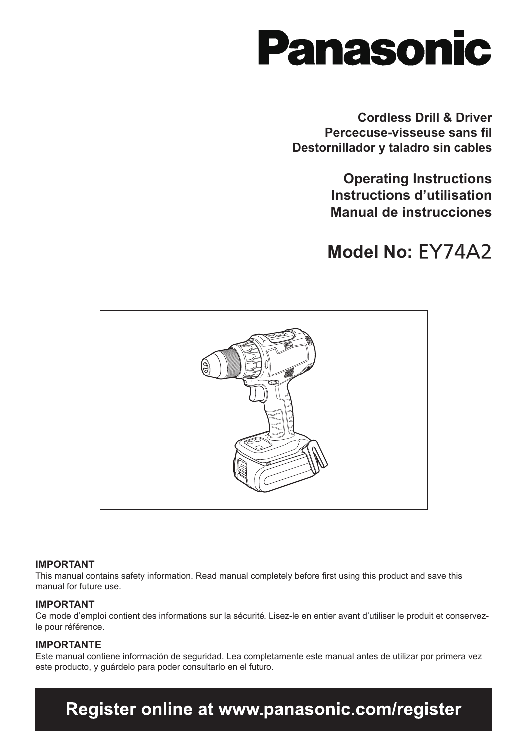

**Cordless Drill & Driver Percecuse-visseuse sans fil Destornillador y taladro sin cables**

> **Operating Instructions Instructions d'utilisation Manual de instrucciones**

## **Model No:** EY74A2



#### **IMPORTANT**

This manual contains safety information. Read manual completely before first using this product and save this manual for future use.

#### **IMPORTANT**

Ce mode d'emploi contient des informations sur la sécurité. Lisez-le en entier avant d'utiliser le produit et conservezle pour référence.

#### **IMPORTANTE**

Este manual contiene información de seguridad. Lea completamente este manual antes de utilizar por primera vez este producto, y guárdelo para poder consultarlo en el futuro.

## Register online at www.panasonic.com/register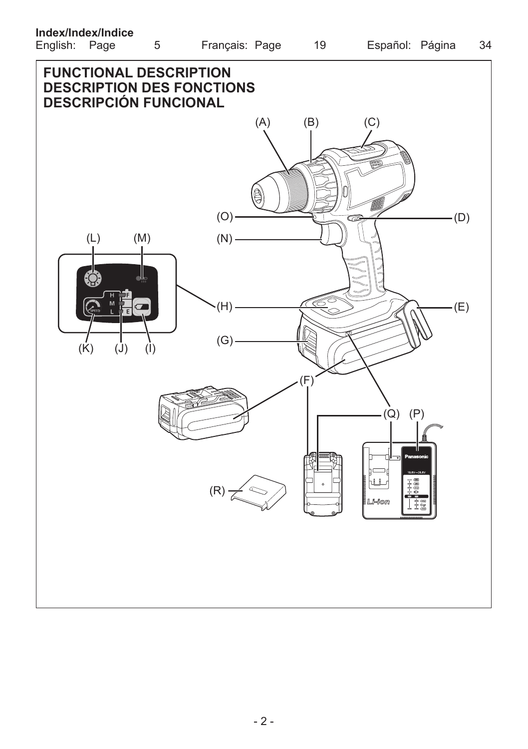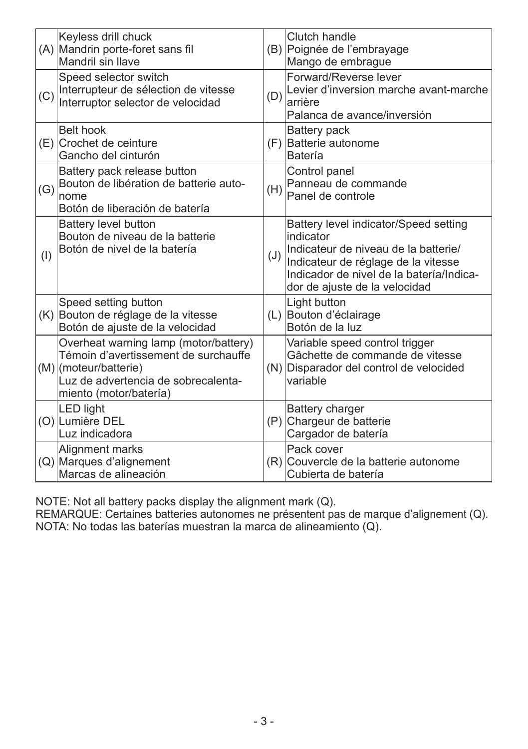|     | Keyless drill chuck<br>(A) Mandrin porte-foret sans fil<br>Mandril sin Ilave                                                                                            |     | Clutch handle<br>(B) Poignée de l'embrayage<br>Mango de embrague                                                                                                                                               |
|-----|-------------------------------------------------------------------------------------------------------------------------------------------------------------------------|-----|----------------------------------------------------------------------------------------------------------------------------------------------------------------------------------------------------------------|
| (C) | Speed selector switch<br>Interrupteur de sélection de vitesse<br>Interruptor selector de velocidad                                                                      | (D) | Forward/Reverse lever<br>Levier d'inversion marche avant-marche<br>arrière<br>Palanca de avance/inversión                                                                                                      |
|     | Belt hook<br>(E) Crochet de ceinture<br>Gancho del cinturón                                                                                                             |     | Battery pack<br>(F) Batterie autonome<br>Batería                                                                                                                                                               |
| (G) | Battery pack release button<br>Bouton de libération de batterie auto-<br>nome<br>Botón de liberación de batería                                                         | (H) | Control panel<br>Panneau de commande<br>Panel de controle                                                                                                                                                      |
| (1) | Battery level button<br>Bouton de niveau de la batterie<br>Botón de nivel de la batería                                                                                 | (J) | Battery level indicator/Speed setting<br>indicator<br>Indicateur de niveau de la batterie/<br>Indicateur de réglage de la vitesse<br>Indicador de nivel de la batería/Indica-<br>dor de ajuste de la velocidad |
|     | Speed setting button<br>(K) Bouton de réglage de la vitesse<br>Botón de ajuste de la velocidad                                                                          |     | Light button<br>(L) Bouton d'éclairage<br>Botón de la luz                                                                                                                                                      |
|     | Overheat warning lamp (motor/battery)<br>Témoin d'avertissement de surchauffe<br>(M) (moteur/batterie)<br>Luz de advertencia de sobrecalenta-<br>miento (motor/batería) |     | Variable speed control trigger<br>Gâchette de commande de vitesse<br>(N) Disparador del control de velocided<br>variable                                                                                       |
|     | <b>LED light</b><br>(O) Lumière DEL<br>Luz indicadora                                                                                                                   |     | Battery charger<br>(P) Chargeur de batterie<br>Cargador de batería                                                                                                                                             |
|     | Alignment marks<br>(Q) Marques d'alignement<br>Marcas de alineación                                                                                                     |     | Pack cover<br>(R) Couvercle de la batterie autonome<br>Cubierta de batería                                                                                                                                     |

NOTE: Not all battery packs display the alignment mark (Q).

REMARQUE: Certaines batteries autonomes ne présentent pas de marque d'alignement (Q). NOTA: No todas las baterías muestran la marca de alineamiento (Q).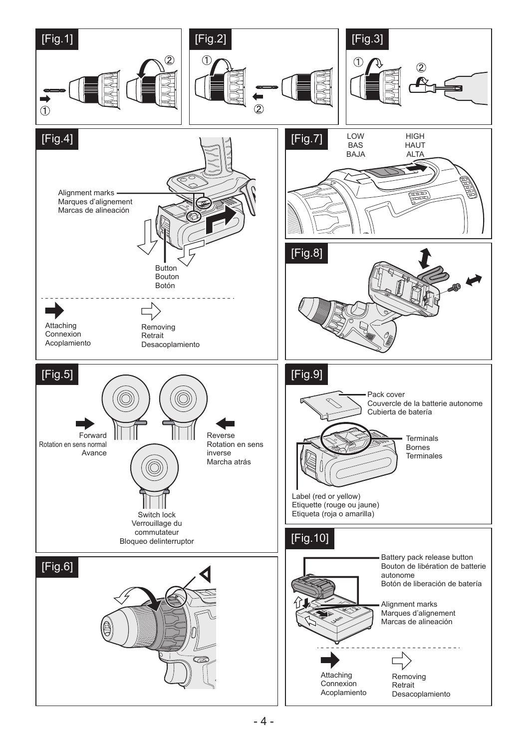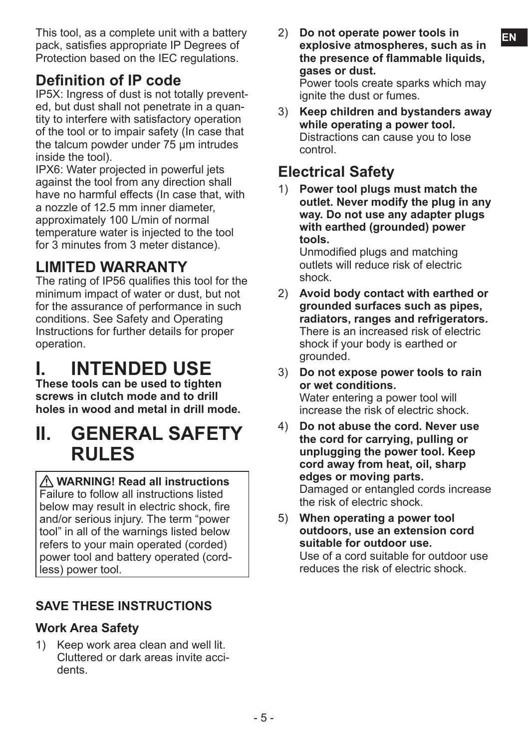This tool, as a complete unit with a battery **2**) Do not operate power tools in **EN** pack, satisfies appropriate IP Degrees of Protection based on the IEC regulations.

### **Definition of IP code**

IP5X: Ingress of dust is not totally prevented, but dust shall not penetrate in a quantity to interfere with satisfactory operation of the tool or to impair safety (In case that the talcum powder under 75 μm intrudes inside the tool).

IPX6: Water projected in powerful jets against the tool from any direction shall have no harmful effects (In case that, with a nozzle of 12.5 mm inner diameter, approximately 100 L/min of normal temperature water is injected to the tool for 3 minutes from 3 meter distance).

## **LIMITED WARRANTY**

The rating of IP56 qualifies this tool for the minimum impact of water or dust, but not for the assurance of performance in such conditions. See Safety and Operating Instructions for further details for proper operation.

## **I. INTENDED USE**

**These tools can be used to tighten screws in clutch mode and to drill holes in wood and metal in drill mode.**

## **II. GENERAL SAFETY RULES**

 **WARNING! Read all instructions** Failure to follow all instructions listed below may result in electric shock, fire and/or serious injury. The term "power tool" in all of the warnings listed below refers to your main operated (corded) power tool and battery operated (cordless) power tool.

#### **SAVE THESE INSTRUCTIONS**

#### **Work Area Safety**

1) Keep work area clean and well lit. Cluttered or dark areas invite accidents.

- 2) **Do not operate power tools in explosive atmospheres, such as in the presence of flammable liquids, gases or dust.** Power tools create sparks which may ignite the dust or fumes.
- 3) **Keep children and bystanders away while operating a power tool.** Distractions can cause you to lose control.

## **Electrical Safety**

1) **Power tool plugs must match the outlet. Never modify the plug in any way. Do not use any adapter plugs with earthed (grounded) power tools.**

Unmodified plugs and matching outlets will reduce risk of electric shock.

- 2) **Avoid body contact with earthed or grounded surfaces such as pipes, radiators, ranges and refrigerators.** There is an increased risk of electric shock if your body is earthed or grounded.
- 3) **Do not expose power tools to rain or wet conditions.** Water entering a power tool will increase the risk of electric shock.
- 4) **Do not abuse the cord. Never use the cord for carrying, pulling or unplugging the power tool. Keep cord away from heat, oil, sharp edges or moving parts.** Damaged or entangled cords increase the risk of electric shock.
- 5) **When operating a power tool outdoors, use an extension cord suitable for outdoor use.** Use of a cord suitable for outdoor use reduces the risk of electric shock.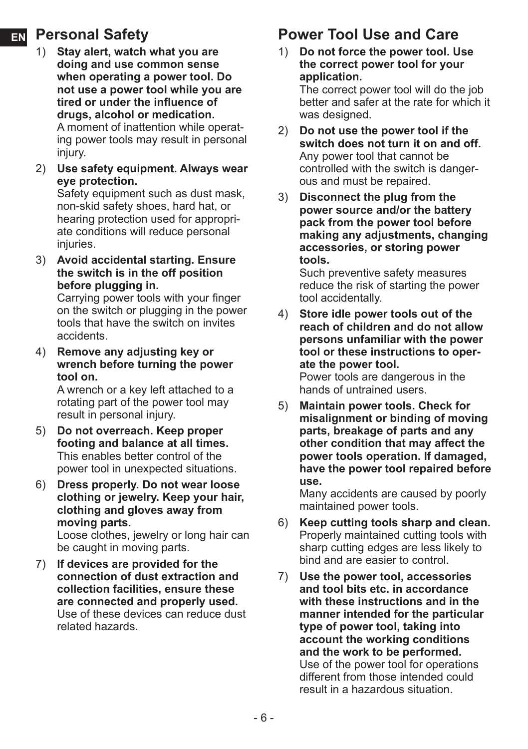### **EN Personal Safety**

- 1) **Stay alert, watch what you are doing and use common sense when operating a power tool. Do not use a power tool while you are tired or under the influence of drugs, alcohol or medication.** A moment of inattention while operating power tools may result in personal injury.
- 2) **Use safety equipment. Always wear eye protection.**

Safety equipment such as dust mask, non-skid safety shoes, hard hat, or hearing protection used for appropriate conditions will reduce personal injuries.

3) **Avoid accidental starting. Ensure the switch is in the off position before plugging in.**

Carrying power tools with your finger on the switch or plugging in the power tools that have the switch on invites accidents.

4) **Remove any adjusting key or wrench before turning the power tool on.**

A wrench or a key left attached to a rotating part of the power tool may result in personal injury.

- 5) **Do not overreach. Keep proper footing and balance at all times.** This enables better control of the power tool in unexpected situations.
- 6) **Dress properly. Do not wear loose clothing or jewelry. Keep your hair, clothing and gloves away from moving parts.**

Loose clothes, jewelry or long hair can be caught in moving parts.

7) **If devices are provided for the connection of dust extraction and collection facilities, ensure these are connected and properly used.** Use of these devices can reduce dust related hazards.

## **Power Tool Use and Care**

1) **Do not force the power tool. Use the correct power tool for your application.** The correct power tool will do the job

better and safer at the rate for which it was designed.

- 2) **Do not use the power tool if the switch does not turn it on and off.** Any power tool that cannot be controlled with the switch is dangerous and must be repaired.
- 3) **Disconnect the plug from the power source and/or the battery pack from the power tool before making any adjustments, changing accessories, or storing power tools.**

Such preventive safety measures reduce the risk of starting the power tool accidentally.

- 4) **Store idle power tools out of the reach of children and do not allow persons unfamiliar with the power tool or these instructions to operate the power tool.** Power tools are dangerous in the hands of untrained users.
- 5) **Maintain power tools. Check for misalignment or binding of moving parts, breakage of parts and any other condition that may affect the power tools operation. If damaged, have the power tool repaired before use.**

Many accidents are caused by poorly maintained power tools.

- 6) **Keep cutting tools sharp and clean.** Properly maintained cutting tools with sharp cutting edges are less likely to bind and are easier to control.
- 7) **Use the power tool, accessories and tool bits etc. in accordance with these instructions and in the manner intended for the particular type of power tool, taking into account the working conditions and the work to be performed.** Use of the power tool for operations different from those intended could result in a hazardous situation.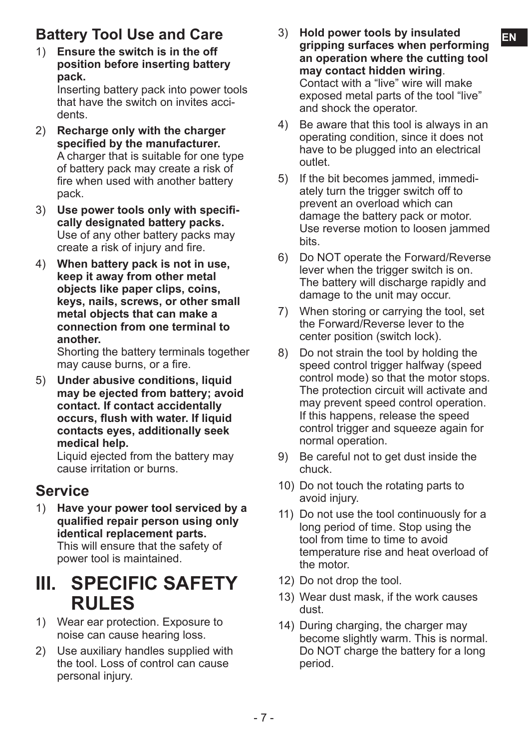1) **Ensure the switch is in the off position before inserting battery pack.** Inserting battery pack into power tools

that have the switch on invites accidents.

- 2) **Recharge only with the charger specified by the manufacturer.** A charger that is suitable for one type of battery pack may create a risk of fire when used with another battery pack.
- 3) **Use power tools only with specifically designated battery packs.** Use of any other battery packs may create a risk of injury and fire.
- 4) **When battery pack is not in use, keep it away from other metal objects like paper clips, coins, keys, nails, screws, or other small metal objects that can make a connection from one terminal to another.**

Shorting the battery terminals together may cause burns, or a fire.

5) **Under abusive conditions, liquid may be ejected from battery; avoid contact. If contact accidentally occurs, flush with water. If liquid contacts eyes, additionally seek medical help.**

Liquid ejected from the battery may cause irritation or burns.

## **Service**

1) **Have your power tool serviced by a qualified repair person using only identical replacement parts.** This will ensure that the safety of power tool is maintained.

## **III. SPECIFIC SAFETY RULES**

- 1) Wear ear protection. Exposure to noise can cause hearing loss.
- 2) Use auxiliary handles supplied with the tool. Loss of control can cause personal injury.
- **Battery Tool Use and Care Battery Tool Use and Care EN** 3) **Hold power tools by insulated gripping surfaces when performing an operation where the cutting tool may contact hidden wiring**. Contact with a "live" wire will make exposed metal parts of the tool "live" and shock the operator.
	- 4) Be aware that this tool is always in an operating condition, since it does not have to be plugged into an electrical outlet.
	- 5) If the bit becomes jammed, immediately turn the trigger switch off to prevent an overload which can damage the battery pack or motor. Use reverse motion to loosen jammed bits.
	- 6) Do NOT operate the Forward/Reverse lever when the trigger switch is on. The battery will discharge rapidly and damage to the unit may occur.
	- 7) When storing or carrying the tool, set the Forward/Reverse lever to the center position (switch lock).
	- 8) Do not strain the tool by holding the speed control trigger halfway (speed control mode) so that the motor stops. The protection circuit will activate and may prevent speed control operation. If this happens, release the speed control trigger and squeeze again for normal operation.
	- 9) Be careful not to get dust inside the chuck.
	- 10) Do not touch the rotating parts to avoid injury.
	- 11) Do not use the tool continuously for a long period of time. Stop using the tool from time to time to avoid temperature rise and heat overload of the motor.
	- 12) Do not drop the tool.
	- 13) Wear dust mask, if the work causes dust.
	- 14) During charging, the charger may become slightly warm. This is normal. Do NOT charge the battery for a long period.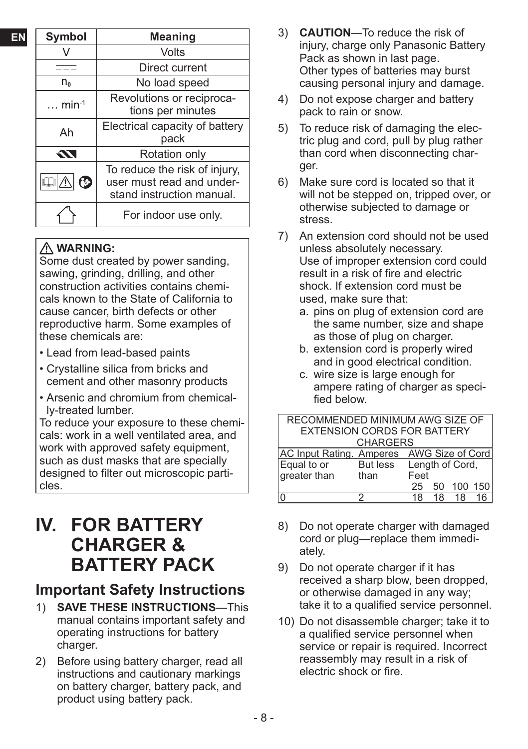| EN | <b>Symbol</b>  | <b>Meaning</b>                                                                                                                                                                                                               |  |  |
|----|----------------|------------------------------------------------------------------------------------------------------------------------------------------------------------------------------------------------------------------------------|--|--|
|    |                | Volts                                                                                                                                                                                                                        |  |  |
|    |                | Direct current                                                                                                                                                                                                               |  |  |
|    | $n_{0}$        | No load speed                                                                                                                                                                                                                |  |  |
|    | $\ldots$ min-1 | Revolutions or reciproca-<br>tions per minutes<br>Electrical capacity of battery<br>pack<br>Rotation only<br>To reduce the risk of injury,<br>user must read and under-<br>stand instruction manual.<br>For indoor use only. |  |  |
|    | Ah             |                                                                                                                                                                                                                              |  |  |
|    | TZ.            |                                                                                                                                                                                                                              |  |  |
|    | B              |                                                                                                                                                                                                                              |  |  |
|    |                |                                                                                                                                                                                                                              |  |  |

#### **WARNING:**

Some dust created by power sanding, sawing, grinding, drilling, and other construction activities contains chemicals known to the State of California to cause cancer, birth defects or other reproductive harm. Some examples of these chemicals are:

- Lead from lead-based paints
- Crystalline silica from bricks and cement and other masonry products
- Arsenic and chromium from chemically-treated lumber.

To reduce your exposure to these chemicals: work in a well ventilated area, and work with approved safety equipment. such as dust masks that are specially designed to filter out microscopic particles.

## **IV. FOR BATTERY CHARGER & BATTERY PACK**

### **Important Safety Instructions**

- 1) **SAVE THESE INSTRUCTIONS**—This manual contains important safety and operating instructions for battery charger.
- 2) Before using battery charger, read all instructions and cautionary markings on battery charger, battery pack, and product using battery pack.
- 3) **CAUTION**—To reduce the risk of injury, charge only Panasonic Battery Pack as shown in last page. Other types of batteries may burst causing personal injury and damage.
- 4) Do not expose charger and battery pack to rain or snow.
- 5) To reduce risk of damaging the electric plug and cord, pull by plug rather than cord when disconnecting charger.
- 6) Make sure cord is located so that it will not be stepped on, tripped over, or otherwise subjected to damage or stress.
- 7) An extension cord should not be used unless absolutely necessary. Use of improper extension cord could result in a risk of fire and electric shock. If extension cord must be used, make sure that:
	- a. pins on plug of extension cord are the same number, size and shape as those of plug on charger.
	- b. extension cord is properly wired and in good electrical condition.
	- c. wire size is large enough for ampere rating of charger as specified below.

| RECOMMENDED MINIMUM AWG SIZE OF           |                 |      |    |                 |         |
|-------------------------------------------|-----------------|------|----|-----------------|---------|
| <b>EXTENSION CORDS FOR BATTERY</b>        |                 |      |    |                 |         |
|                                           | <b>CHARGERS</b> |      |    |                 |         |
| AC Input Rating. Amperes AWG Size of Cord |                 |      |    |                 |         |
| Equal to or                               | But less        |      |    | Length of Cord, |         |
| greater than                              | than            | Feet |    |                 |         |
|                                           |                 | 25   | 50 |                 | 100 150 |
| 0                                         |                 | 18   | 18 | 18              |         |

- 8) Do not operate charger with damaged cord or plug—replace them immediately.
- 9) Do not operate charger if it has received a sharp blow, been dropped, or otherwise damaged in any way; take it to a qualified service personnel.
- 10) Do not disassemble charger; take it to a qualified service personnel when service or repair is required. Incorrect reassembly may result in a risk of electric shock or fire.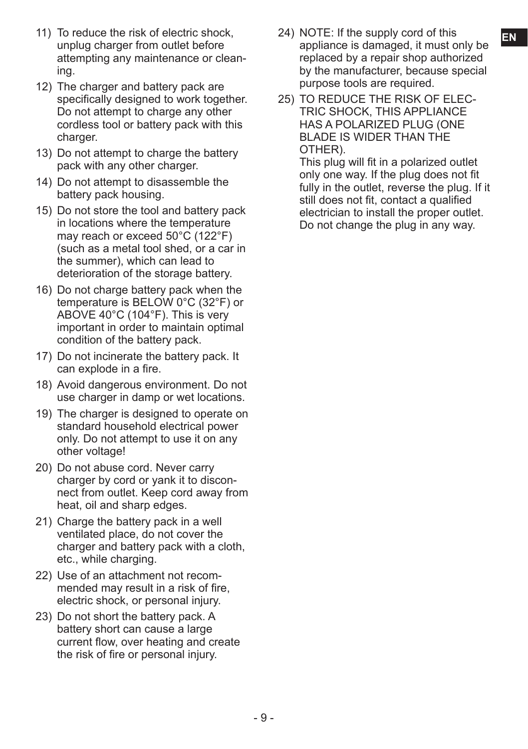- 11) To reduce the risk of electric shock, 24) NOTE: If the supply cord of this unplug charger from outlet before attempting any maintenance or cleaning.
- 12) The charger and battery pack are specifically designed to work together. Do not attempt to charge any other cordless tool or battery pack with this charger.
- 13) Do not attempt to charge the battery pack with any other charger.
- 14) Do not attempt to disassemble the battery pack housing.
- 15) Do not store the tool and battery pack in locations where the temperature may reach or exceed 50°C (122°F) (such as a metal tool shed, or a car in the summer), which can lead to deterioration of the storage battery.
- 16) Do not charge battery pack when the temperature is BELOW 0°C (32°F) or ABOVE 40°C (104°F). This is very important in order to maintain optimal condition of the battery pack.
- 17) Do not incinerate the battery pack. It can explode in a fire.
- 18) Avoid dangerous environment. Do not use charger in damp or wet locations.
- 19) The charger is designed to operate on standard household electrical power only. Do not attempt to use it on any other voltage!
- 20) Do not abuse cord. Never carry charger by cord or yank it to disconnect from outlet. Keep cord away from heat, oil and sharp edges.
- 21) Charge the battery pack in a well ventilated place, do not cover the charger and battery pack with a cloth, etc., while charging.
- 22) Use of an attachment not recommended may result in a risk of fire, electric shock, or personal injury.
- 23) Do not short the battery pack. A battery short can cause a large current flow, over heating and create the risk of fire or personal injury.
- 24) NOTE: If the supply cord of this appliance is damaged, it must only be replaced by a repair shop authorized by the manufacturer, because special purpose tools are required.
- 25) TO REDUCE THE RISK OF ELEC-TRIC SHOCK, THIS APPLIANCE HAS A POLARIZED PLUG (ONE BLADE IS WIDER THAN THE OTHER).

This plug will fit in a polarized outlet only one way. If the plug does not fit fully in the outlet, reverse the plug. If it still does not fit, contact a qualified electrician to install the proper outlet. Do not change the plug in any way.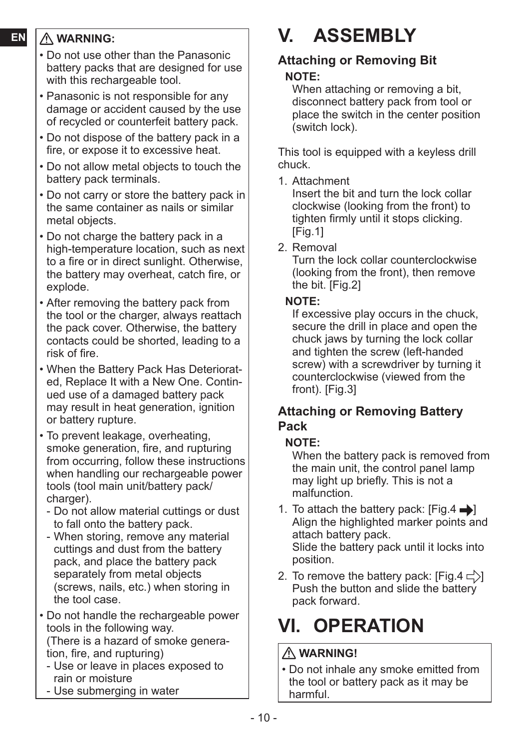#### **EN WARNING:**

- Do not use other than the Panasonic battery packs that are designed for use with this rechargeable tool.
- Panasonic is not responsible for any damage or accident caused by the use of recycled or counterfeit battery pack.
- Do not dispose of the battery pack in a fire, or expose it to excessive heat.
- Do not allow metal objects to touch the battery pack terminals.
- Do not carry or store the battery pack in the same container as nails or similar metal objects.
- Do not charge the battery pack in a high-temperature location, such as next to a fire or in direct sunlight. Otherwise, the battery may overheat, catch fire, or explode.
- After removing the battery pack from the tool or the charger, always reattach the pack cover. Otherwise, the battery contacts could be shorted, leading to a risk of fire.
- When the Battery Pack Has Deteriorated, Replace It with a New One. Continued use of a damaged battery pack may result in heat generation, ignition or battery rupture.
- To prevent leakage, overheating, smoke generation, fire, and rupturing from occurring, follow these instructions when handling our rechargeable power tools (tool main unit/battery pack/ charger).
	- Do not allow material cuttings or dust to fall onto the battery pack.
- When storing, remove any material cuttings and dust from the battery pack, and place the battery pack separately from metal objects (screws, nails, etc.) when storing in the tool case.
- Do not handle the rechargeable power tools in the following way. (There is a hazard of smoke generation, fire, and rupturing)
	- Use or leave in places exposed to rain or moisture
	- Use submerging in water

# **V. ASSEMBLY**

## **Attaching or Removing Bit**

#### **NOTE:**

When attaching or removing a bit. disconnect battery pack from tool or place the switch in the center position (switch lock).

This tool is equipped with a keyless drill chuck.

1. Attachment

Insert the bit and turn the lock collar clockwise (looking from the front) to tighten firmly until it stops clicking. [Fig.1]

2. Removal

Turn the lock collar counterclockwise (looking from the front), then remove the bit. [Fig.2]

#### **NOTE:**

If excessive play occurs in the chuck, secure the drill in place and open the chuck jaws by turning the lock collar and tighten the screw (left-handed screw) with a screwdriver by turning it counterclockwise (viewed from the front). [Fig.3]

#### **Attaching or Removing Battery Pack**

#### **NOTE:**

When the battery pack is removed from the main unit, the control panel lamp may light up briefly. This is not a malfunction.

- 1. To attach the battery pack:  $[Fig.4 \rightarrow]$ Align the highlighted marker points and attach battery pack. Slide the battery pack until it locks into position.
- 2. To remove the battery pack:  $[Fig.4 \subset \rangle]$ Push the button and slide the battery pack forward.

# **VI. OPERATION**

### **WARNING!**

• Do not inhale any smoke emitted from the tool or battery pack as it may be harmful.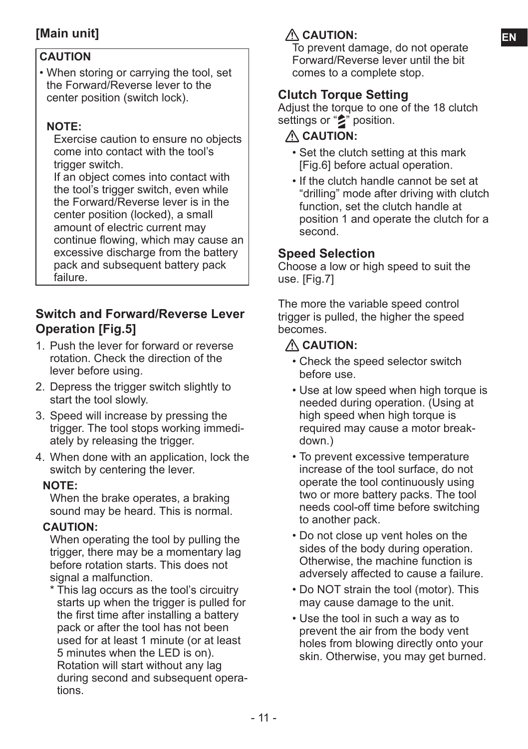#### **CAUTION**

• When storing or carrying the tool, set the Forward/Reverse lever to the center position (switch lock).

#### **NOTE:**

Exercise caution to ensure no objects come into contact with the tool's trigger switch.

If an object comes into contact with the tool's trigger switch, even while the Forward/Reverse lever is in the center position (locked), a small amount of electric current may continue flowing, which may cause an excessive discharge from the battery pack and subsequent battery pack failure.

#### **Switch and Forward/Reverse Lever Operation [Fig.5]**

- 1. Push the lever for forward or reverse rotation. Check the direction of the lever before using.
- 2. Depress the trigger switch slightly to start the tool slowly.
- 3. Speed will increase by pressing the trigger. The tool stops working immediately by releasing the trigger.
- 4. When done with an application, lock the switch by centering the lever.

#### **NOTE:**

When the brake operates, a braking sound may be heard. This is normal.

#### **CAUTION:**

When operating the tool by pulling the trigger, there may be a momentary lag before rotation starts. This does not signal a malfunction.

\* This lag occurs as the tool's circuitry starts up when the trigger is pulled for the first time after installing a battery pack or after the tool has not been used for at least 1 minute (or at least 5 minutes when the LED is on). Rotation will start without any lag during second and subsequent operations.

#### **[Main unit] EN CAUTION:**

To prevent damage, do not operate Forward/Reverse lever until the bit comes to a complete stop.

#### **Clutch Torque Setting**

Adjust the torque to one of the 18 clutch settings or "<sup>2</sup>" position.

#### **CAUTION:**

- Set the clutch setting at this mark [Fig.6] before actual operation.
- If the clutch handle cannot be set at "drilling" mode after driving with clutch function, set the clutch handle at position 1 and operate the clutch for a second.

#### **Speed Selection**

Choose a low or high speed to suit the use. [Fig.7]

The more the variable speed control trigger is pulled, the higher the speed becomes.

#### **CAUTION:**

- Check the speed selector switch before use.
- Use at low speed when high torque is needed during operation. (Using at high speed when high torque is required may cause a motor breakdown.)
- To prevent excessive temperature increase of the tool surface, do not operate the tool continuously using two or more battery packs. The tool needs cool-off time before switching to another pack.
- Do not close up vent holes on the sides of the body during operation. Otherwise, the machine function is adversely affected to cause a failure.
- Do NOT strain the tool (motor). This may cause damage to the unit.
- Use the tool in such a way as to prevent the air from the body vent holes from blowing directly onto your skin. Otherwise, you may get burned.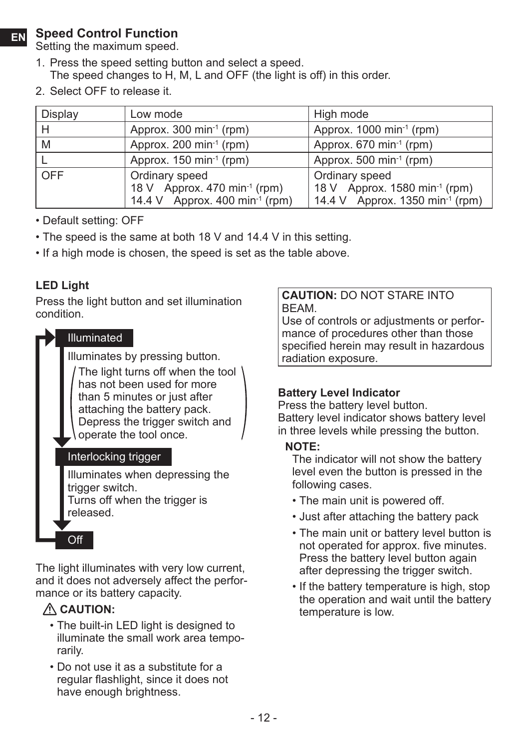#### **EN Speed Control Function**

Setting the maximum speed.

- 1. Press the speed setting button and select a speed. The speed changes to H, M, L and OFF (the light is off) in this order.
- 2. Select OFF to release it.

| Display    | Low mode                                                                                                 | High mode                                                                                                  |
|------------|----------------------------------------------------------------------------------------------------------|------------------------------------------------------------------------------------------------------------|
| Н          | Approx. 300 min <sup>-1</sup> (rpm)                                                                      | Approx. $1000 \text{ min}^{-1}$ (rpm)                                                                      |
| M          | Approx. 200 min <sup>-1</sup> (rpm)                                                                      | Approx. $670 \text{ min}^1 \text{ (rpm)}$                                                                  |
|            | Approx. $150 \text{ min}^1$ (rpm)                                                                        | Approx. 500 min <sup>-1</sup> (rpm)                                                                        |
| <b>OFF</b> | Ordinary speed<br>18 V Approx. 470 min <sup>-1</sup> (rpm)<br>14.4 V Approx. 400 min <sup>-1</sup> (rpm) | Ordinary speed<br>18 V Approx. 1580 min <sup>-1</sup> (rpm)<br>14.4 V Approx. 1350 min <sup>-1</sup> (rpm) |

- Default setting: OFF
- The speed is the same at both 18 V and 14.4 V in this setting.
- If a high mode is chosen, the speed is set as the table above.

#### **LED Light**

Press the light button and set illumination condition.



The light illuminates with very low current. and it does not adversely affect the performance or its battery capacity.

#### **CAUTION:**

- The built-in LED light is designed to illuminate the small work area temporarily.
- Do not use it as a substitute for a regular flashlight, since it does not have enough brightness.

#### **CAUTION:** DO NOT STARE INTO BEAM.

Use of controls or adjustments or performance of procedures other than those specified herein may result in hazardous radiation exposure.

#### **Battery Level Indicator**

Press the battery level button. Battery level indicator shows battery level in three levels while pressing the button.

#### **NOTE:**

The indicator will not show the battery level even the button is pressed in the following cases.

- The main unit is powered off.
- Just after attaching the battery pack
- The main unit or battery level button is not operated for approx. five minutes. Press the battery level button again after depressing the trigger switch.
- If the battery temperature is high, stop the operation and wait until the battery temperature is low.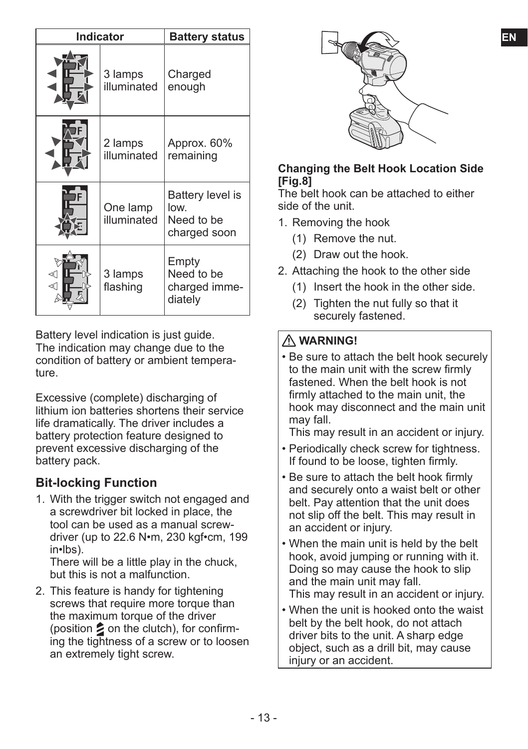| <b>Indicator</b> |                         | <b>Battery status</b>                                  | EN                                                                                                                                                    |
|------------------|-------------------------|--------------------------------------------------------|-------------------------------------------------------------------------------------------------------------------------------------------------------|
|                  | 3 lamps<br>illuminated  | Charged<br>enough                                      |                                                                                                                                                       |
|                  | 2 lamps<br>illuminated  | Approx. 60%<br>remaining                               | <b>Changing the Belt Hook Location Side</b><br>[Fig.8]                                                                                                |
|                  | One lamp<br>illuminated | Battery level is<br>low.<br>Need to be<br>charged soon | The belt hook can be attached to either<br>side of the unit.<br>1. Removing the hook<br>(1) Remove the nut.                                           |
| ⊲∩<br>⊲∩         | 3 lamps<br>flashing     | Empty<br>Need to be<br>charged imme-<br>diately        | Draw out the hook.<br>(2)<br>2. Attaching the hook to the other side<br>Insert the hook in the other side.<br>Tighten the nut fully so that it<br>(2) |

Battery level indication is just quide. The indication may change due to the condition of battery or ambient temperature.

Excessive (complete) discharging of lithium ion batteries shortens their service life dramatically. The driver includes a battery protection feature designed to prevent excessive discharging of the battery pack.

#### **Bit-locking Function**

1. With the trigger switch not engaged and a screwdriver bit locked in place, the tool can be used as a manual screwdriver (up to 22.6 N•m, 230 kgf•cm, 199 in•lbs).

There will be a little play in the chuck, but this is not a malfunction.

2. This feature is handy for tightening screws that require more torque than the maximum torque of the driver (position  $\geq$  on the clutch), for confirming the tightness of a screw or to loosen an extremely tight screw.



#### **Changing the Belt Hook Location Side [Fig.8]**

- 1. Removing the hook
	- (1) Remove the nut.
	- (2) Draw out the hook.
- 2. Attaching the hook to the other side
	- (1) Insert the hook in the other side.
	- (2) Tighten the nut fully so that it securely fastened.

#### **WARNING!**

- Be sure to attach the belt hook securely to the main unit with the screw firmly fastened. When the belt hook is not firmly attached to the main unit, the hook may disconnect and the main unit may fall.
	- This may result in an accident or injury.
- Periodically check screw for tightness. If found to be loose, tighten firmly.
- Be sure to attach the belt hook firmly and securely onto a waist belt or other belt. Pay attention that the unit does not slip off the belt. This may result in an accident or injury.
- When the main unit is held by the belt hook, avoid jumping or running with it. Doing so may cause the hook to slip and the main unit may fall. This may result in an accident or injury.
- When the unit is hooked onto the waist belt by the belt hook, do not attach driver bits to the unit. A sharp edge object, such as a drill bit, may cause injury or an accident.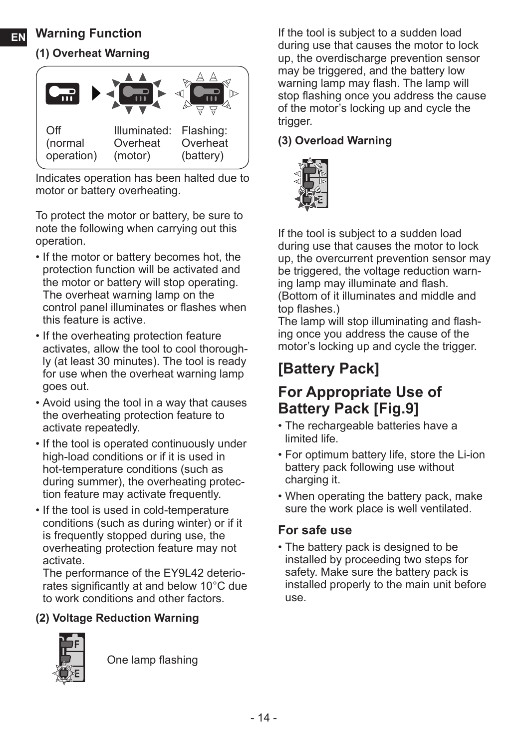#### **EN Warning Function**

#### **(1) Overheat Warning**



Indicates operation has been halted due to motor or battery overheating.

To protect the motor or battery, be sure to note the following when carrying out this operation.

- If the motor or battery becomes hot, the protection function will be activated and the motor or battery will stop operating. The overheat warning lamp on the control panel illuminates or flashes when this feature is active.
- If the overheating protection feature activates, allow the tool to cool thoroughly (at least 30 minutes). The tool is ready for use when the overheat warning lamp goes out.
- Avoid using the tool in a way that causes the overheating protection feature to activate repeatedly.
- If the tool is operated continuously under high-load conditions or if it is used in hot-temperature conditions (such as during summer), the overheating protection feature may activate frequently.
- If the tool is used in cold-temperature conditions (such as during winter) or if it is frequently stopped during use, the overheating protection feature may not activate.

The performance of the EY9L42 deteriorates significantly at and below 10°C due to work conditions and other factors.

#### **(2) Voltage Reduction Warning**



One lamp flashing

If the tool is subject to a sudden load during use that causes the motor to lock up, the overdischarge prevention sensor may be triggered, and the battery low warning lamp may flash. The lamp will stop flashing once you address the cause of the motor's locking up and cycle the trigger.

#### **(3) Overload Warning**



If the tool is subject to a sudden load during use that causes the motor to lock up, the overcurrent prevention sensor may be triggered, the voltage reduction warning lamp may illuminate and flash. (Bottom of it illuminates and middle and top flashes.)

The lamp will stop illuminating and flashing once you address the cause of the motor's locking up and cycle the trigger.

## **[Battery Pack]**

### **For Appropriate Use of Battery Pack [Fig.9]**

- The rechargeable batteries have a limited life.
- For optimum battery life, store the Li-ion battery pack following use without charging it.
- When operating the battery pack, make sure the work place is well ventilated.

#### **For safe use**

• The battery pack is designed to be installed by proceeding two steps for safety. Make sure the battery pack is installed properly to the main unit before use.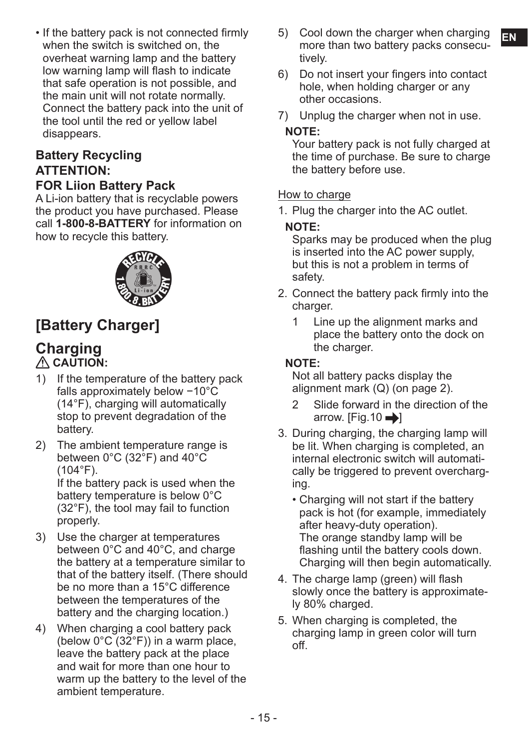when the switch is switched on, the overheat warning lamp and the battery low warning lamp will flash to indicate that safe operation is not possible, and the main unit will not rotate normally. Connect the battery pack into the unit of the tool until the red or yellow label disappears.

## **Battery Recycling ATTENTION:**

#### **FOR Liion Battery Pack**

A Li-ion battery that is recyclable powers the product you have purchased. Please call **1-800-8-BATTERY** for information on how to recycle this battery.



## **[Battery Charger]**

#### **Charging CAUTION:**

- 1) If the temperature of the battery pack falls approximately below −10°C (14°F), charging will automatically stop to prevent degradation of the battery.
- 2) The ambient temperature range is between 0°C (32°F) and 40°C  $(104°F)$ . If the battery pack is used when the

battery temperature is below 0°C (32°F), the tool may fail to function properly.

- 3) Use the charger at temperatures between 0°C and 40°C, and charge the battery at a temperature similar to that of the battery itself. (There should be no more than a 15°C difference between the temperatures of the battery and the charging location.)
- 4) When charging a cool battery pack (below  $0^{\circ}C(32^{\circ}F)$ ) in a warm place, leave the battery pack at the place and wait for more than one hour to warm up the battery to the level of the ambient temperature.
- If the battery pack is not connected firmly 5) Cool down the charger when charging **Fival** 5) Cool down the charger when charging more than two battery packs consecutively.
	- 6) Do not insert your fingers into contact hole, when holding charger or any other occasions.
	- 7) Unplug the charger when not in use.

#### **NOTE:**

Your battery pack is not fully charged at the time of purchase. Be sure to charge the battery before use.

#### How to charge

1. Plug the charger into the AC outlet.

#### **NOTE:**

Sparks may be produced when the plug is inserted into the AC power supply, but this is not a problem in terms of safety.

- 2. Connect the battery pack firmly into the charger.
	- 1 Line up the alignment marks and place the battery onto the dock on the charger.

#### **NOTE:**

Not all battery packs display the alignment mark (Q) (on page 2).

- 2 Slide forward in the direction of the arrow.  $[Fig.10 \rightarrow]$
- 3. During charging, the charging lamp will be lit. When charging is completed, an internal electronic switch will automatically be triggered to prevent overcharging.
	- Charging will not start if the battery pack is hot (for example, immediately after heavy-duty operation). The orange standby lamp will be flashing until the battery cools down. Charging will then begin automatically.
- 4. The charge lamp (green) will flash slowly once the battery is approximately 80% charged.
- 5. When charging is completed, the charging lamp in green color will turn off.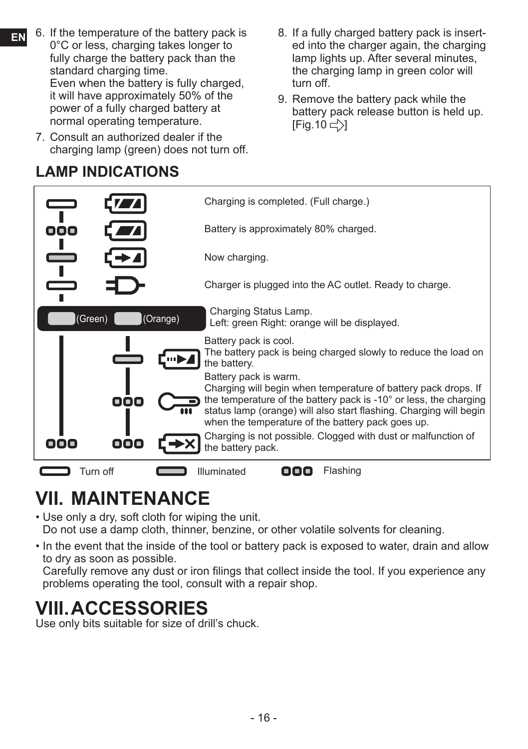- **EN** 6. If the temperature of the battery pack is 0°C or less, charging takes longer to fully charge the battery pack than the standard charging time. Even when the battery is fully charged, it will have approximately 50% of the power of a fully charged battery at normal operating temperature.
	- 7. Consult an authorized dealer if the charging lamp (green) does not turn off.

## **LAMP INDICATIONS**

- 8. If a fully charged battery pack is inserted into the charger again, the charging lamp lights up. After several minutes, the charging lamp in green color will turn off.
- 9. Remove the battery pack while the battery pack release button is held up.  $[Fig.10 \rightleftarrows]$



## **VII. MAINTENANCE**

• Use only a dry, soft cloth for wiping the unit.

Do not use a damp cloth, thinner, benzine, or other volatile solvents for cleaning.

• In the event that the inside of the tool or battery pack is exposed to water, drain and allow to dry as soon as possible.

Carefully remove any dust or iron filings that collect inside the tool. If you experience any problems operating the tool, consult with a repair shop.

## **VIII.ACCESSORIES**

Use only bits suitable for size of drill's chuck.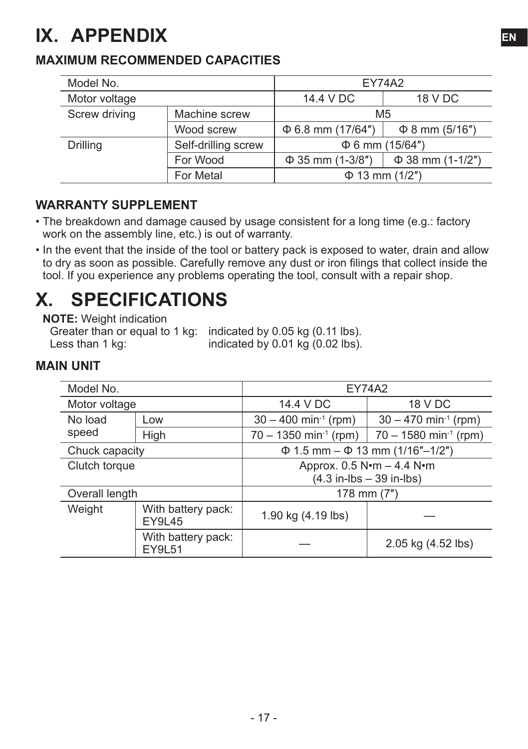## **IX. APPENDIX EN**

#### **MAXIMUM RECOMMENDED CAPACITIES**

| Model No.                       |            | <b>FY74A2</b>          |                       |  |
|---------------------------------|------------|------------------------|-----------------------|--|
| Motor voltage                   |            | 14.4 V DC              | 18 V DC               |  |
| Screw driving<br>Machine screw  |            | M <sub>5</sub>         |                       |  |
|                                 | Wood screw | $\Phi$ 6.8 mm (17/64") | $\Phi$ 8 mm (5/16")   |  |
| Self-drilling screw<br>Drilling |            | $\Phi$ 6 mm (15/64")   |                       |  |
| For Wood                        |            | $\Phi$ 35 mm (1-3/8")  | $\Phi$ 38 mm (1-1/2") |  |
| For Metal                       |            | $\Phi$ 13 mm (1/2")    |                       |  |

#### **WARRANTY SUPPLEMENT**

- The breakdown and damage caused by usage consistent for a long time (e.g.: factory work on the assembly line, etc.) is out of warranty.
- In the event that the inside of the tool or battery pack is exposed to water, drain and allow to dry as soon as possible. Carefully remove any dust or iron filings that collect inside the tool. If you experience any problems operating the tool, consult with a repair shop.

## **X. SPECIFICATIONS**

**NOTE:** Weight indication

Greater than or equal to 1 kg: indicated by 0.05 kg (0.11 lbs).<br>Less than 1 kg: indicated by 0.01 kg (0.02 lbs). indicated by  $0.01$  kg  $(0.02$  lbs).

#### **MAIN UNIT**

| Model No.                                     |                                     | <b>EY74A2</b>                                                           |                                           |  |
|-----------------------------------------------|-------------------------------------|-------------------------------------------------------------------------|-------------------------------------------|--|
| Motor voltage                                 |                                     | 14.4 V DC                                                               | 18 V DC                                   |  |
| No load                                       | Low                                 | $30 - 400$ min <sup>-1</sup> (rpm)                                      | $30 - 470$ min <sup>-1</sup> (rpm)        |  |
| speed                                         | High                                | $70 - 1350$ min <sup>-1</sup> (rpm)                                     | $70 - 1580$ min <sup>-1</sup> (rpm)       |  |
| Chuck capacity                                |                                     |                                                                         | $\Phi$ 1.5 mm – $\Phi$ 13 mm (1/16"–1/2") |  |
| Clutch torque                                 |                                     | Approx. 0.5 N•m - 4.4 N•m<br>$(4.3 \text{ in-lbs} - 39 \text{ in-lbs})$ |                                           |  |
|                                               |                                     |                                                                         |                                           |  |
| Overall length                                |                                     | 178 mm (7")                                                             |                                           |  |
| Weight<br>With battery pack:<br><b>EY9L45</b> |                                     | 1.90 kg (4.19 lbs)                                                      |                                           |  |
|                                               | With battery pack:<br><b>EY9L51</b> |                                                                         | 2.05 kg (4.52 lbs)                        |  |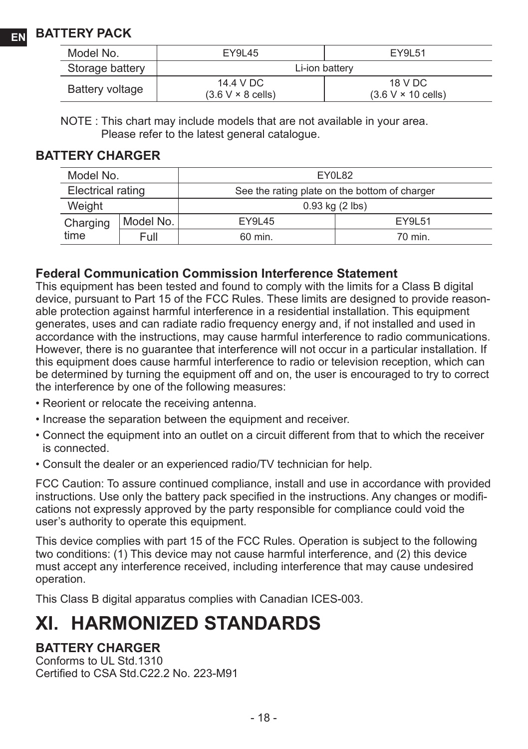| Model No.       | EY9L45                                | EY9L51                               |
|-----------------|---------------------------------------|--------------------------------------|
| Storage battery |                                       | Li-ion battery                       |
| Battery voltage | 14.4 V DC<br>$(3.6 V \times 8$ cells) | 18 V DC<br>$(3.6 V \times 10$ cells) |

NOTE : This chart may include models that are not available in your area. Please refer to the latest general catalogue.

#### **BATTERY CHARGER**

| Model No.         |           | EY0L82                                        |         |
|-------------------|-----------|-----------------------------------------------|---------|
| Electrical rating |           | See the rating plate on the bottom of charger |         |
| Weight            |           | $0.93$ kg $(2$ lbs)                           |         |
| Charging          | Model No. | EY9L45                                        | FY91 51 |
| time              | Full      | 60 min.                                       | 70 min. |

#### **Federal Communication Commission Interference Statement**

This equipment has been tested and found to comply with the limits for a Class B digital device, pursuant to Part 15 of the FCC Rules. These limits are designed to provide reasonable protection against harmful interference in a residential installation. This equipment generates, uses and can radiate radio frequency energy and, if not installed and used in accordance with the instructions, may cause harmful interference to radio communications. However, there is no guarantee that interference will not occur in a particular installation. If this equipment does cause harmful interference to radio or television reception, which can be determined by turning the equipment off and on, the user is encouraged to try to correct the interference by one of the following measures:

- Reorient or relocate the receiving antenna.
- Increase the separation between the equipment and receiver.
- Connect the equipment into an outlet on a circuit different from that to which the receiver is connected.
- Consult the dealer or an experienced radio/TV technician for help.

FCC Caution: To assure continued compliance, install and use in accordance with provided instructions. Use only the battery pack specified in the instructions. Any changes or modifications not expressly approved by the party responsible for compliance could void the user's authority to operate this equipment.

This device complies with part 15 of the FCC Rules. Operation is subject to the following two conditions: (1) This device may not cause harmful interference, and (2) this device must accept any interference received, including interference that may cause undesired operation.

This Class B digital apparatus complies with Canadian ICES-003.

## **XI. HARMONIZED STANDARDS**

#### **BATTERY CHARGER**

Conforms to UL Std.1310 Certified to CSA Std.C22.2 No. 223-M91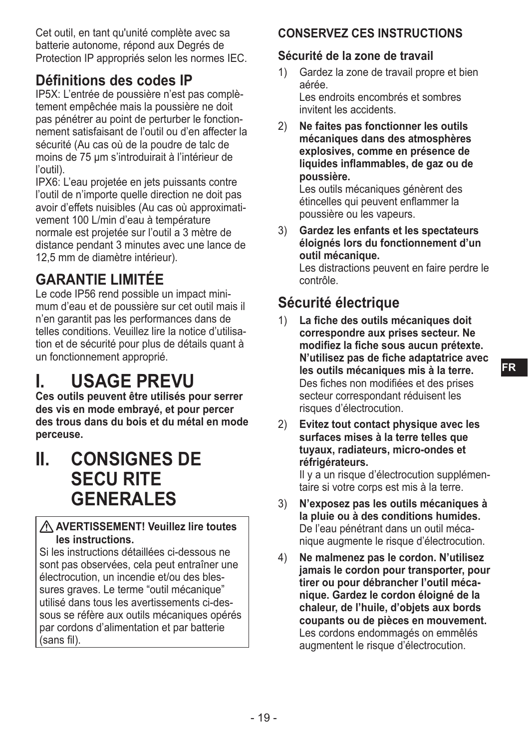Cet outil, en tant qu'unité complète avec sa batterie autonome, répond aux Degrés de Protection IP appropriés selon les normes IEC.

### **Définitions des codes IP**

IP5X: L'entrée de poussière n'est pas complètement empêchée mais la poussière ne doit pas pénétrer au point de perturber le fonctionnement satisfaisant de l'outil ou d'en affecter la sécurité (Au cas où de la poudre de talc de moins de 75 μm s'introduirait à l'intérieur de l'outil).

IPX6: L'eau projetée en jets puissants contre l'outil de n'importe quelle direction ne doit pas avoir d'effets nuisibles (Au cas où approximativement 100 L/min d'eau à température normale est projetée sur l'outil a 3 mètre de distance pendant 3 minutes avec une lance de 12,5 mm de diamètre intérieur).

## **GARANTIE LIMITÉE**

Le code IP56 rend possible un impact minimum d'eau et de poussière sur cet outil mais il n'en garantit pas les performances dans de telles conditions. Veuillez lire la notice d'utilisation et de sécurité pour plus de détails quant à un fonctionnement approprié.

## **I. USAGE PREVU**

**Ces outils peuvent être utilisés pour serrer des vis en mode embrayé, et pour percer des trous dans du bois et du métal en mode perceuse.**

**II. CONSIGNES DE SECU RITE GENERALES**

#### **AVERTISSEMENT! Veuillez lire toutes les instructions.**

Si les instructions détaillées ci-dessous ne sont pas observées, cela peut entraîner une électrocution, un incendie et/ou des blessures graves. Le terme "outil mécanique" utilisé dans tous les avertissements ci-dessous se réfère aux outils mécaniques opérés par cordons d'alimentation et par batterie (sans fil).

### **CONSERVEZ CES INSTRUCTIONS**

#### **Sécurité de la zone de travail**

- 1) Gardez la zone de travail propre et bien aérée. Les endroits encombrés et sombres invitent les accidents.
- 2) **Ne faites pas fonctionner les outils mécaniques dans des atmosphères explosives, comme en présence de liquides inflammables, de gaz ou de poussière.**

Les outils mécaniques génèrent des étincelles qui peuvent enflammer la poussière ou les vapeurs.

3) **Gardez les enfants et les spectateurs éloignés lors du fonctionnement d'un outil mécanique.** Les distractions peuvent en faire perdre le contrôle.

## **Sécurité électrique**

- 1) **La fiche des outils mécaniques doit correspondre aux prises secteur. Ne modifiez la fiche sous aucun prétexte. N'utilisez pas de fiche adaptatrice avec les outils mécaniques mis à la terre.** Des fiches non modifiées et des prises secteur correspondant réduisent les risques d'électrocution.
- 2) **Evitez tout contact physique avec les surfaces mises à la terre telles que tuyaux, radiateurs, micro-ondes et réfrigérateurs.** Il y a un risque d'électrocution supplémen-

taire si votre corps est mis à la terre.

- 3) **N'exposez pas les outils mécaniques à la pluie ou à des conditions humides.** De l'eau pénétrant dans un outil mécanique augmente le risque d'électrocution.
- 4) **Ne malmenez pas le cordon. N'utilisez jamais le cordon pour transporter, pour tirer ou pour débrancher l'outil mécanique. Gardez le cordon éloigné de la chaleur, de l'huile, d'objets aux bords coupants ou de pièces en mouvement.** Les cordons endommagés on emmêlés augmentent le risque d'électrocution.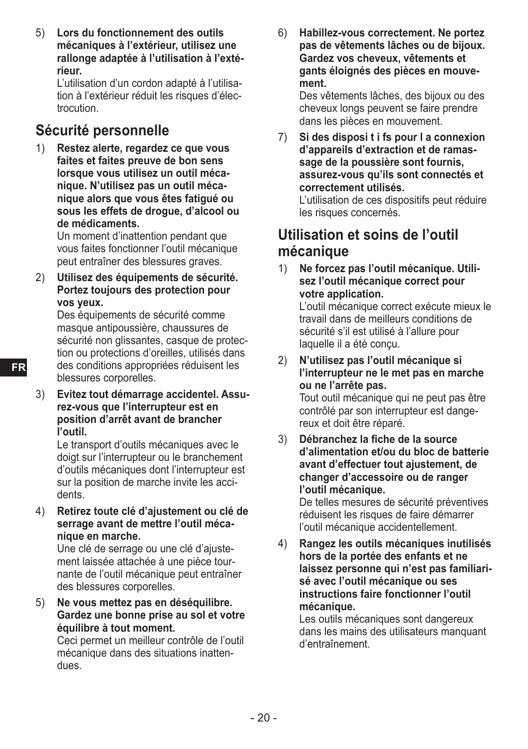5) **Lors du fonctionnement des outils mécaniques à l'extérieur, utilisez une rallonge adaptée à l'utilisation à l'extérieur.**

L'utilisation d'un cordon adapté à l'utilisation à l'extérieur réduit les risques d'électrocution.

### **Sécurité personnelle**

1) **Restez alerte, regardez ce que vous faites et faites preuve de bon sens lorsque vous utilisez un outil mécanique. N'utilisez pas un outil mécanique alors que vous êtes fatigué ou sous les effets de drogue, d'alcool ou de médicaments.**

Un moment d'inattention pendant que vous faites fonctionner l'outil mécanique peut entraîner des blessures graves.

2) **Utilisez des équipements de sécurité. Portez toujours des protection pour vos yeux.**

Des équipements de sécurité comme masque antipoussière, chaussures de sécurité non glissantes, casque de protection ou protections d'oreilles, utilisés dans des conditions appropriées réduisent les blessures corporelles.

3) **Evitez tout démarrage accidentel. Assurez-vous que l'interrupteur est en position d'arrêt avant de brancher l'outil.**

Le transport d'outils mécaniques avec le doigt sur l'interrupteur ou le branchement d'outils mécaniques dont l'interrupteur est sur la position de marche invite les accidents.

4) **Retirez toute clé d'ajustement ou clé de serrage avant de mettre l'outil mécanique en marche.**

Une clé de serrage ou une clé d'ajustement laissée attachée à une pièce tournante de l'outil mécanique peut entraîner des blessures corporelles.

5) **Ne vous mettez pas en déséquilibre. Gardez une bonne prise au sol et votre équilibre à tout moment.**

Ceci permet un meilleur contrôle de l'outil mécanique dans des situations inattendues.

6) **Habillez-vous correctement. Ne portez pas de vêtements lâches ou de bijoux. Gardez vos cheveux, vêtements et gants éloignés des pièces en mouvement.**

Des vêtements lâches, des bijoux ou des cheveux longs peuvent se faire prendre dans les pièces en mouvement.

7) **Si des disposi t i fs pour l a connexion d'appareils d'extraction et de ramassage de la poussière sont fournis, assurez-vous qu'ils sont connectés et correctement utilisés.** L'utilisation de ces dispositifs peut réduire

les risques concernés.

#### **Utilisation et soins de l'outil mécanique**

1) **Ne forcez pas l'outil mécanique. Utilisez l'outil mécanique correct pour votre application.**

L'outil mécanique correct exécute mieux le travail dans de meilleurs conditions de sécurité s'il est utilisé à l'allure pour laquelle il a été conçu.

- 2) **N'utilisez pas l'outil mécanique si l'interrupteur ne le met pas en marche ou ne l'arrête pas.** Tout outil mécanique qui ne peut pas être contrôlé par son interrupteur est dangereux et doit être réparé.
- 3) **Débranchez la fiche de la source d'alimentation et/ou du bloc de batterie avant d'effectuer tout ajustement, de changer d'accessoire ou de ranger l'outil mécanique.**

De telles mesures de sécurité préventives réduisent les risques de faire démarrer l'outil mécanique accidentellement.

4) **Rangez les outils mécaniques inutilisés hors de la portée des enfants et ne laissez personne qui n'est pas familiarisé avec l'outil mécanique ou ses instructions faire fonctionner l'outil mécanique.**

Les outils mécaniques sont dangereux dans les mains des utilisateurs manquant d'entraînement.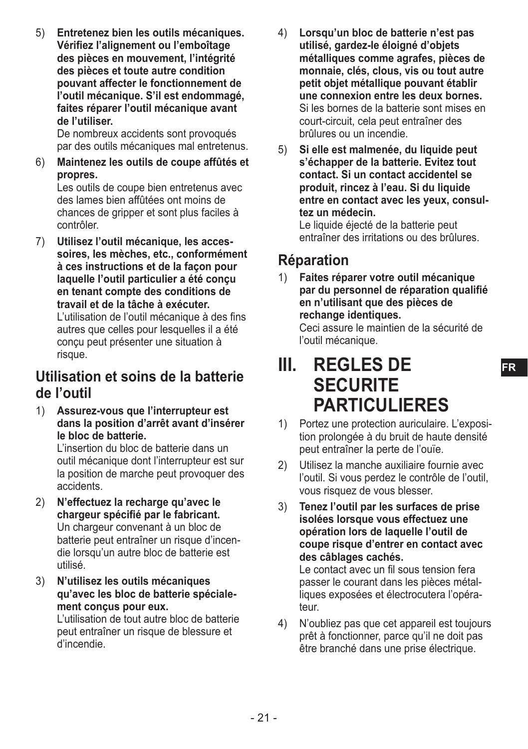5) **Entretenez bien les outils mécaniques. Vérifiez l'alignement ou l'emboîtage des pièces en mouvement, l'intégrité des pièces et toute autre condition pouvant affecter le fonctionnement de l'outil mécanique. S'il est endommagé, faites réparer l'outil mécanique avant de l'utiliser.**

De nombreux accidents sont provoqués par des outils mécaniques mal entretenus.

6) **Maintenez les outils de coupe affûtés et propres.**

Les outils de coupe bien entretenus avec des lames bien affûtées ont moins de chances de gripper et sont plus faciles à contrôler.

7) **Utilisez l'outil mécanique, les accessoires, les mèches, etc., conformément à ces instructions et de la façon pour laquelle l'outil particulier a été conçu en tenant compte des conditions de travail et de la tâche à exécuter.** L'utilisation de l'outil mécanique à des fins autres que celles pour lesquelles il a été conçu peut présenter une situation à risque.

#### **Utilisation et soins de la batterie de l'outil**

1) **Assurez-vous que l'interrupteur est dans la position d'arrêt avant d'insérer le bloc de batterie.**

L'insertion du bloc de batterie dans un outil mécanique dont l'interrupteur est sur la position de marche peut provoquer des accidents.

- 2) **N'effectuez la recharge qu'avec le chargeur spécifié par le fabricant.** Un chargeur convenant à un bloc de batterie peut entraîner un risque d'incendie lorsqu'un autre bloc de batterie est utilisé.
- 3) **N'utilisez les outils mécaniques qu'avec les bloc de batterie spécialement conçus pour eux.**

L'utilisation de tout autre bloc de batterie peut entraîner un risque de blessure et d'incendie.

- 4) **Lorsqu'un bloc de batterie n'est pas utilisé, gardez-le éloigné d'objets métalliques comme agrafes, pièces de monnaie, clés, clous, vis ou tout autre petit objet métallique pouvant établir une connexion entre les deux bornes.** Si les bornes de la batterie sont mises en court-circuit, cela peut entraîner des brûlures ou un incendie.
- 5) **Si elle est malmenée, du liquide peut s'échapper de la batterie. Evitez tout contact. Si un contact accidentel se produit, rincez à l'eau. Si du liquide entre en contact avec les yeux, consultez un médecin.**

Le liquide éjecté de la batterie peut entraîner des irritations ou des brûlures.

### **Réparation**

1) **Faites réparer votre outil mécanique par du personnel de réparation qualifié en n'utilisant que des pièces de rechange identiques.**

Ceci assure le maintien de la sécurité de l'outil mécanique.

## **III. REGLES DE SECURITE PARTICUL IFRES**

- 1) Portez une protection auriculaire. L'exposition prolongée à du bruit de haute densité peut entraîner la perte de l'ouïe.
- 2) Utilisez la manche auxiliaire fournie avec l'outil. Si vous perdez le contrôle de l'outil, vous risquez de vous blesser.
- 3) **Tenez l'outil par les surfaces de prise isolées lorsque vous effectuez une opération lors de laquelle l'outil de coupe risque d'entrer en contact avec des câblages cachés.**

Le contact avec un fil sous tension fera passer le courant dans les pièces métalliques exposées et électrocutera l'opérateur.

4) N'oubliez pas que cet appareil est toujours prêt à fonctionner, parce qu'il ne doit pas être branché dans une prise électrique.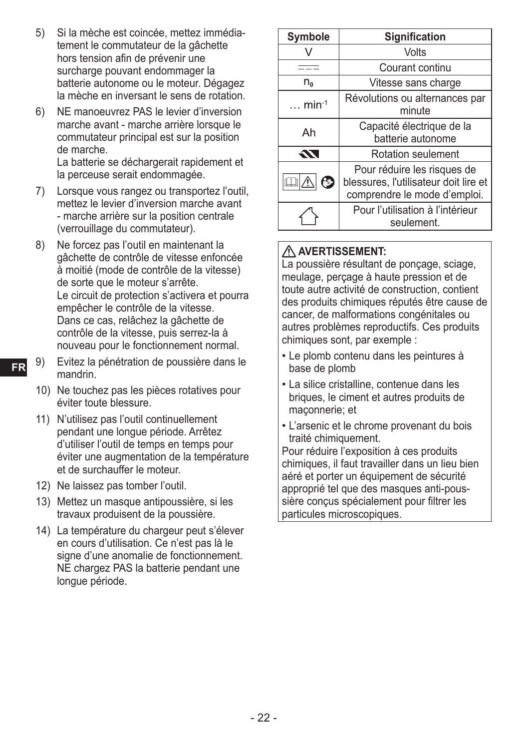- 5) Si la mèche est coincée, mettez immédiatement le commutateur de la gâchette hors tension afin de prévenir une surcharge pouvant endommager la batterie autonome ou le moteur. Dégagez la mèche en inversant le sens de rotation.
- 6) NE manoeuvrez PAS le levier d'inversion marche avant - marche arrière lorsque le commutateur principal est sur la position de marche.

La batterie se déchargerait rapidement et la perceuse serait endommagée.

- 7) Lorsque vous rangez ou transportez l'outil, mettez le levier d'inversion marche avant - marche arrière sur la position centrale (verrouillage du commutateur).
- 8) Ne forcez pas l'outil en maintenant la gâchette de contrôle de vitesse enfoncée à moitié (mode de contrôle de la vitesse) de sorte que le moteur s'arrête. Le circuit de protection s'activera et pourra empêcher le contrôle de la vitesse. Dans ce cas, relâchez la gâchette de contrôle de la vitesse, puis serrez-la à nouveau pour le fonctionnement normal.
- 9) Evitez la pénétration de poussière dans le mandrin.
	- 10) Ne touchez pas les pièces rotatives pour éviter toute blessure.
	- 11) N'utilisez pas l'outil continuellement pendant une longue période. Arrêtez d'utiliser l'outil de temps en temps pour éviter une augmentation de la température et de surchauffer le moteur.
	- 12) Ne laissez pas tomber l'outil.
	- 13) Mettez un masque antipoussière, si les travaux produisent de la poussière.
	- 14) La température du chargeur peut s'élever en cours d'utilisation. Ce n'est pas là le signe d'une anomalie de fonctionnement. NE chargez PAS la batterie pendant une longue période.

| <b>Symbole</b>             | <b>Signification</b>                                                                                 |  |  |
|----------------------------|------------------------------------------------------------------------------------------------------|--|--|
|                            | Volts                                                                                                |  |  |
|                            | Courant continu                                                                                      |  |  |
| n <sub>o</sub>             | Vitesse sans charge                                                                                  |  |  |
| $\ldots$ min <sup>-1</sup> | Révolutions ou alternances par<br>minute                                                             |  |  |
| Ah                         | Capacité électrique de la<br>batterie autonome                                                       |  |  |
| $\boldsymbol{\mathcal{N}}$ | Rotation seulement                                                                                   |  |  |
| 6                          | Pour réduire les risques de<br>blessures, l'utilisateur doit lire et<br>comprendre le mode d'emploi. |  |  |
|                            | Pour l'utilisation à l'intérieur<br>seulement.                                                       |  |  |

#### **AVERTISSEMENT:**

La poussière résultant de ponçage, sciage, meulage, perçage à haute pression et de toute autre activité de construction, contient des produits chimiques réputés être cause de cancer, de malformations congénitales ou autres problèmes reproductifs. Ces produits chimiques sont, par exemple :

- Le plomb contenu dans les peintures à base de plomb
- La silice cristalline, contenue dans les briques, le ciment et autres produits de maçonnerie; et
- L'arsenic et le chrome provenant du bois traité chimiquement.

Pour réduire l'exposition à ces produits chimiques, il faut travailler dans un lieu bien aéré et porter un équipement de sécurité approprié tel que des masques anti-poussière conçus spécialement pour filtrer les particules microscopiques.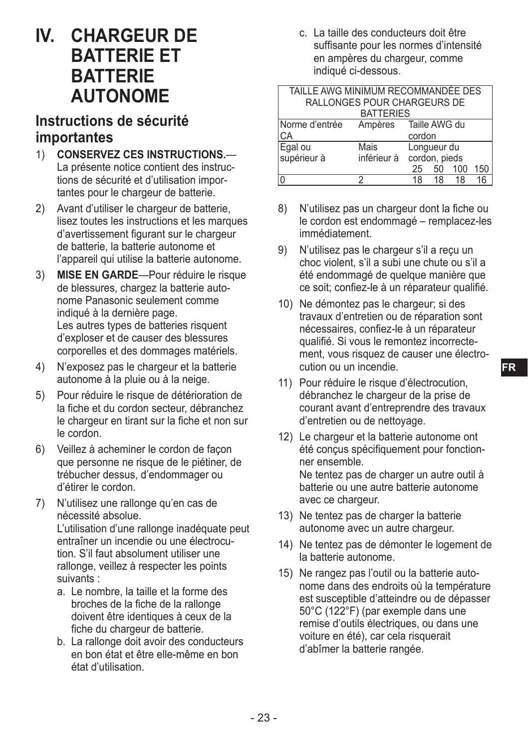## **IV. CHARGEUR DE BATTERIE ET BATTERIE AUTONOME**

### **Instructions de sécurité importantes**

- 1) **CONSERVEZ CES INSTRUCTIONS.** La présente notice contient des instructions de sécurité et d'utilisation importantes pour le chargeur de batterie.
- 2) Avant d'utiliser le chargeur de batterie. lisez toutes les instructions et les marques d'avertissement figurant sur le chargeur de batterie, la batterie autonome et l'appareil qui utilise la batterie autonome.
- 3) **MISE EN GARDE**—Pour réduire le risque de blessures, chargez la batterie autonome Panasonic seulement comme indiqué à la dernière page. Les autres types de batteries risquent d'exploser et de causer des blessures corporelles et des dommages matériels.
- 4) N'exposez pas le chargeur et la batterie autonome à la pluie ou à la neige.
- 5) Pour réduire le risque de détérioration de la fiche et du cordon secteur, débranchez le chargeur en tirant sur la fiche et non sur le cordon.
- 6) Veillez à acheminer le cordon de façon que personne ne risque de le piétiner, de trébucher dessus, d'endommager ou d'étirer le cordon.
- 7) N'utilisez une rallonge qu'en cas de nécessité absolue.

L'utilisation d'une rallonge inadéquate peut entraîner un incendie ou une électrocution. S'il faut absolument utiliser une rallonge, veillez à respecter les points suivants :

- a. Le nombre, la taille et la forme des broches de la fiche de la rallonge doivent être identiques à ceux de la fiche du chargeur de batterie.
- b. La rallonge doit avoir des conducteurs en bon état et être elle-même en bon état d'utilisation.

c. La taille des conducteurs doit être suffisante pour les normes d'intensité en ampères du chargeur, comme indiqué ci-dessous.

| TAILLE AWG MINIMUM RECOMMANDÉE DES |                             |               |             |     |     |
|------------------------------------|-----------------------------|---------------|-------------|-----|-----|
|                                    | RALLONGES POUR CHARGEURS DE |               |             |     |     |
|                                    | <b>BATTERIES</b>            |               |             |     |     |
| Norme d'entrée                     | Ampères Taille AWG du       |               |             |     |     |
| СA                                 |                             | cordon        |             |     |     |
| Egal ou<br>supérieur à             | Mais                        |               | Longueur du |     |     |
|                                    | inférieur à                 | cordon, pieds |             |     |     |
|                                    |                             | 25            | 50          | 100 | 150 |
|                                    |                             | 18            | 18          | 18  |     |

- 8) N'utilisez pas un chargeur dont la fiche ou le cordon est endommagé – remplacez-les immédiatement.
- 9) N'utilisez pas le chargeur s'il a reçu un choc violent, s'il a subi une chute ou s'il a été endommagé de quelque manière que ce soit; confiez-le à un réparateur qualifié.
- 10) Ne démontez pas le chargeur; si des travaux d'entretien ou de réparation sont nécessaires, confiez-le à un réparateur qualifié. Si vous le remontez incorrectement, vous risquez de causer une électrocution ou un incendie.
- 11) Pour réduire le risque d'électrocution, débranchez le chargeur de la prise de courant avant d'entreprendre des travaux d'entretien ou de nettoyage.
- 12) Le chargeur et la batterie autonome ont été conçus spécifiquement pour fonctionner ensemble. Ne tentez pas de charger un autre outil à batterie ou une autre batterie autonome avec ce chargeur.
- 13) Ne tentez pas de charger la batterie autonome avec un autre chargeur.
- 14) Ne tentez pas de démonter le logement de la batterie autonome.
- 15) Ne rangez pas l'outil ou la batterie autonome dans des endroits où la température est susceptible d'atteindre ou de dépasser 50°C (122°F) (par exemple dans une remise d'outils électriques, ou dans une voiture en été), car cela risquerait d'abîmer la batterie rangée.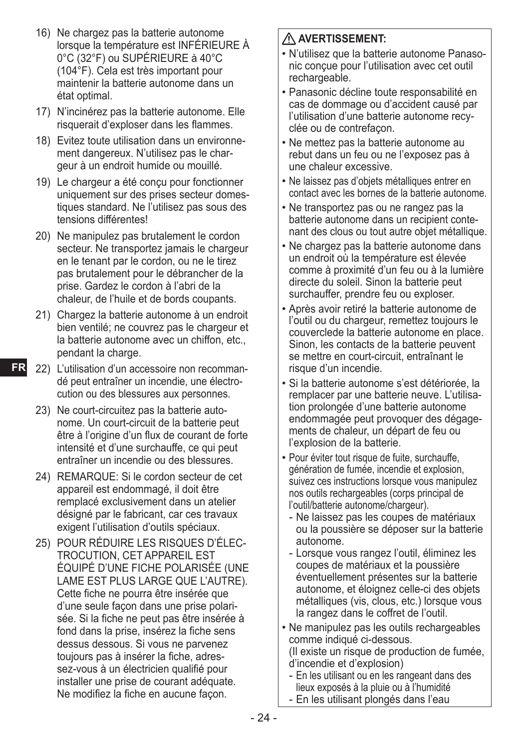- 16) Ne chargez pas la batterie autonome lorsque la température est INFÉRIEURE À 0°C (32°F) ou SUPÉRIEURE à 40°C (104°F). Cela est très important pour maintenir la batterie autonome dans un état optimal.
- 17) N'incinérez pas la batterie autonome. Elle risquerait d'exploser dans les flammes.
- 18) Evitez toute utilisation dans un environnement dangereux. N'utilisez pas le chargeur à un endroit humide ou mouillé.
- 19) Le chargeur a été conçu pour fonctionner uniquement sur des prises secteur domestiques standard. Ne l'utilisez pas sous des tensions différentes!
- 20) Ne manipulez pas brutalement le cordon secteur. Ne transportez jamais le chargeur en le tenant par le cordon, ou ne le tirez pas brutalement pour le débrancher de la prise. Gardez le cordon à l'abri de la chaleur, de l'huile et de bords coupants.
- 21) Chargez la batterie autonome à un endroit bien ventilé; ne couvrez pas le chargeur et la batterie autonome avec un chiffon, etc., pendant la charge.
- **FR**
	- 22) L'utilisation d'un accessoire non recommandé peut entraîner un incendie, une électrocution ou des blessures aux personnes.
	- 23) Ne court-circuitez pas la batterie autonome. Un court-circuit de la batterie peut être à l'origine d'un flux de courant de forte intensité et d'une surchauffe, ce qui peut entraîner un incendie ou des blessures.
	- 24) REMARQUE: Si le cordon secteur de cet appareil est endommagé, il doit être remplacé exclusivement dans un atelier désigné par le fabricant, car ces travaux exigent l'utilisation d'outils spéciaux.
	- 25) POUR RÉDUIRE LES RISQUES D'ÉLEC-TROCUTION, CET APPAREIL EST ÉQUIPÉ D'UNE FICHE POLARISÉE (UNE LAME EST PLUS LARGE QUE L'AUTRE). Cette fiche ne pourra être insérée que d'une seule façon dans une prise polarisée. Si la fiche ne peut pas être insérée à fond dans la prise, insérez la fiche sens dessus dessous. Si vous ne parvenez toujours pas à insérer la fiche, adressez-vous à un électricien qualifié pour installer une prise de courant adéquate. Ne modifiez la fiche en aucune façon.

#### **AVERTISSEMENT:**

- N'utilisez que la batterie autonome Panasonic conçue pour l'utilisation avec cet outil rechargeable.
- Panasonic décline toute responsabilité en cas de dommage ou d'accident causé par l'utilisation d'une batterie autonome recyclée ou de contrefaçon.
- Ne mettez pas la batterie autonome au rebut dans un feu ou ne l'exposez pas à une chaleur excessive.
- Ne laissez pas d'objets métalliques entrer en contact avec les bornes de la batterie autonome.
- Ne transportez pas ou ne rangez pas la batterie autonome dans un recipient contenant des clous ou tout autre objet métallique.
- Ne chargez pas la batterie autonome dans un endroit où la température est élevée comme à proximité d'un feu ou à la lumière directe du soleil. Sinon la batterie peut surchauffer, prendre feu ou exploser.
- Après avoir retiré la batterie autonome de l'outil ou du chargeur, remettez toujours le couverclede la batterie autonome en place. Sinon, les contacts de la batterie peuvent se mettre en court-circuit, entraînant le risque d'un incendie.
- Si la batterie autonome s'est détériorée, la remplacer par une batterie neuve. L'utilisation prolongée d'une batterie autonome endommagée peut provoquer des dégagements de chaleur, un départ de feu ou l'explosion de la batterie.
- Pour éviter tout risque de fuite, surchauffe, génération de fumée, incendie et explosion, suivez ces instructions lorsque vous manipulez nos outils rechargeables (corps principal de l'outil/batterie autonome/chargeur).
	- Ne laissez pas les coupes de matériaux ou la poussière se déposer sur la batterie autonome.
- Lorsque vous rangez l'outil, éliminez les coupes de matériaux et la poussière éventuellement présentes sur la batterie autonome, et éloignez celle-ci des objets métalliques (vis, clous, etc.) lorsque vous la rangez dans le coffret de l'outil.
- Ne manipulez pas les outils rechargeables comme indiqué ci-dessous.
	- (Il existe un risque de production de fumée, d'incendie et d'explosion)
	- En les utilisant ou en les rangeant dans des lieux exposés à la pluie ou à l'humidité
- En les utilisant plongés dans l'eau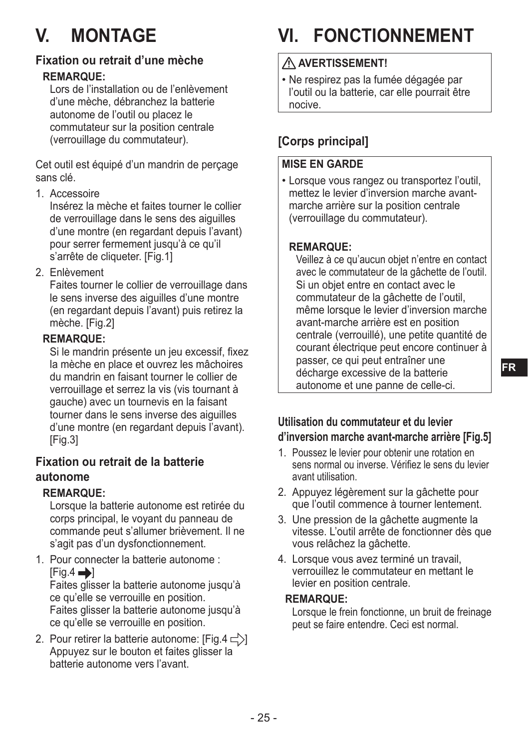## **V. MONTAGE**

#### **Fixation ou retrait d'une mèche**

#### **REMARQUE:**

Lors de l'installation ou de l'enlèvement d'une mèche, débranchez la batterie autonome de l'outil ou placez le commutateur sur la position centrale (verrouillage du commutateur).

Cet outil est équipé d'un mandrin de perçage sans clé.

1. Accessoire

Insérez la mèche et faites tourner le collier de verrouillage dans le sens des aiguilles d'une montre (en regardant depuis l'avant) pour serrer fermement jusqu'à ce qu'il s'arrête de cliqueter. [Fig.1]

2. Enlèvement

Faites tourner le collier de verrouillage dans le sens inverse des aiguilles d'une montre (en regardant depuis l'avant) puis retirez la mèche. [Fig.2]

#### **REMARQUE:**

Si le mandrin présente un jeu excessif, fixez la mèche en place et ouvrez les mâchoires du mandrin en faisant tourner le collier de verrouillage et serrez la vis (vis tournant à gauche) avec un tournevis en la faisant tourner dans le sens inverse des aiguilles d'une montre (en regardant depuis l'avant). [Fig.3]

#### **Fixation ou retrait de la batterie autonome**

#### **REMARQUE:**

Lorsque la batterie autonome est retirée du corps principal, le voyant du panneau de commande peut s'allumer brièvement. Il ne s'agit pas d'un dysfonctionnement.

1. Pour connecter la batterie autonome :  $[Fig.4 \rightarrow]$ 

Faites glisser la batterie autonome jusqu'à ce qu'elle se verrouille en position. Faites glisser la batterie autonome jusqu'à ce qu'elle se verrouille en position.

2. Pour retirer la batterie autonome: [Fig.4  $\leq$ )] Appuyez sur le bouton et faites glisser la batterie autonome vers l'avant.

## **VI. FONCTIONNEMENT**

#### **AVERTISSEMENT!**

• Ne respirez pas la fumée dégagée par l'outil ou la batterie, car elle pourrait être nocive.

#### **[Corps principal]**

#### **MISE EN GARDE**

• Lorsque vous rangez ou transportez l'outil, mettez le levier d'inversion marche avantmarche arrière sur la position centrale (verrouillage du commutateur).

#### **REMARQUE:**

Veillez à ce qu'aucun objet n'entre en contact avec le commutateur de la gâchette de l'outil. Si un objet entre en contact avec le commutateur de la gâchette de l'outil, même lorsque le levier d'inversion marche avant-marche arrière est en position centrale (verrouillé), une petite quantité de courant électrique peut encore continuer à passer, ce qui peut entraîner une décharge excessive de la batterie autonome et une panne de celle-ci.

#### **Utilisation du commutateur et du levier d'inversion marche avant-marche arrière [Fig.5]**

- 1. Poussez le levier pour obtenir une rotation en sens normal ou inverse. Vérifiez le sens du levier avant utilisation.
- 2. Appuyez légèrement sur la gâchette pour que l'outil commence à tourner lentement.
- 3. Une pression de la gâchette augmente la vitesse. L'outil arrête de fonctionner dès que vous relâchez la gâchette.
- 4. Lorsque vous avez terminé un travail, verrouillez le commutateur en mettant le levier en position centrale.

#### **REMARQUE:**

Lorsque le frein fonctionne, un bruit de freinage peut se faire entendre. Ceci est normal.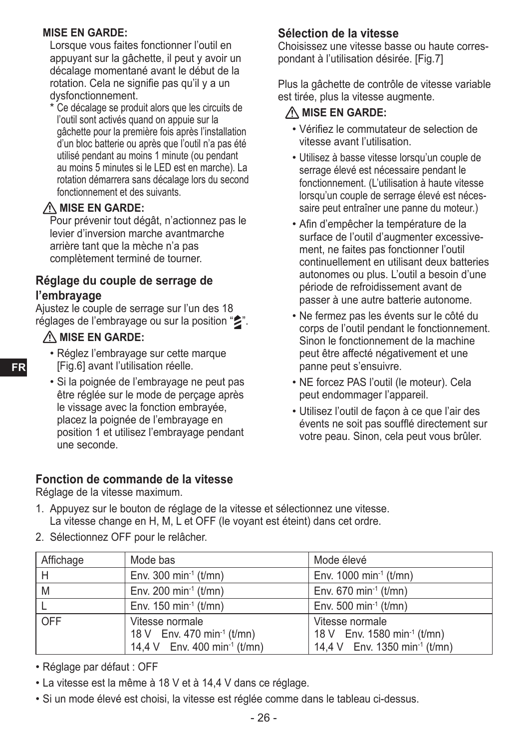#### **MISE EN GARDE:**

Lorsque vous faites fonctionner l'outil en appuyant sur la gâchette, il peut y avoir un décalage momentané avant le début de la rotation. Cela ne signifie pas qu'il y a un dysfonctionnement.

Ce décalage se produit alors que les circuits de l'outil sont activés quand on appuie sur la gâchette pour la première fois après l'installation d'un bloc batterie ou après que l'outil n'a pas été utilisé pendant au moins 1 minute (ou pendant au moins 5 minutes si le LED est en marche). La rotation démarrera sans décalage lors du second fonctionnement et des suivants.

#### $\triangle$  MISE EN GARDE:

Pour prévenir tout dégât, n'actionnez pas le levier d'inversion marche avantmarche arrière tant que la mèche n'a pas complètement terminé de tourner.

#### **Réglage du couple de serrage de l'embrayage**

Ajustez le couple de serrage sur l'un des 18 réglages de l'embrayage ou sur la position "2".

#### **MISE EN GARDE:**

**FR**

- Réglez l'embrayage sur cette marque [Fig.6] avant l'utilisation réelle.
- Si la poignée de l'embrayage ne peut pas être réglée sur le mode de perçage après le vissage avec la fonction embrayée, placez la poignée de l'embrayage en position 1 et utilisez l'embrayage pendant une seconde.

#### **Fonction de commande de la vitesse**

Réglage de la vitesse maximum.

#### 1. Appuyez sur le bouton de réglage de la vitesse et sélectionnez une vitesse. La vitesse change en H, M, L et OFF (le voyant est éteint) dans cet ordre.

2. Sélectionnez OFF pour le relâcher.

| Affichage | Mode bas                                                                                              | Mode élevé                                                                                              |
|-----------|-------------------------------------------------------------------------------------------------------|---------------------------------------------------------------------------------------------------------|
| H         | Env. 300 min <sup>-1</sup> ( $t/mn$ )                                                                 | Env. 1000 min <sup>-1</sup> (t/mn)                                                                      |
| M         | Env. 200 min <sup>-1</sup> ( $t/mn$ )                                                                 | Env. 670 min <sup>-1</sup> ( $t/mn$ )                                                                   |
|           | Env. 150 min <sup>-1</sup> ( $t/mn$ )                                                                 | Env. 500 min <sup>-1</sup> ( $t/mn$ )                                                                   |
| OFF       | Vitesse normale<br>18 V Env. 470 min <sup>-1</sup> (t/mn)<br>14.4 V Env. 400 min <sup>-1</sup> (t/mn) | Vitesse normale<br>18 V Env. 1580 min <sup>-1</sup> (t/mn)<br>14,4 V Env. 1350 min <sup>-1</sup> (t/mn) |

- Réglage par défaut : OFF
- La vitesse est la même à 18 V et à 14,4 V dans ce réglage.
- Si un mode élevé est choisi, la vitesse est réglée comme dans le tableau ci-dessus.

#### **Sélection de la vitesse**

Choisissez une vitesse basse ou haute correspondant à l'utilisation désirée. [Fig.7]

Plus la gâchette de contrôle de vitesse variable est tirée, plus la vitesse augmente.

#### $\triangle$  MISE EN GARDE:

- Vérifiez le commutateur de selection de vitesse avant l'utilisation.
- Utilisez à basse vitesse lorsqu'un couple de serrage élevé est nécessaire pendant le fonctionnement. (L'utilisation à haute vitesse lorsqu'un couple de serrage élevé est nécessaire peut entraîner une panne du moteur.)
- Afin d'empêcher la température de la surface de l'outil d'augmenter excessivement, ne faites pas fonctionner l'outil continuellement en utilisant deux batteries autonomes ou plus. L'outil a besoin d'une période de refroidissement avant de passer à une autre batterie autonome.
- Ne fermez pas les évents sur le côté du corps de l'outil pendant le fonctionnement. Sinon le fonctionnement de la machine peut être affecté négativement et une panne peut s'ensuivre.
- NE forcez PAS l'outil (le moteur). Cela peut endommager l'appareil.
- Utilisez l'outil de façon à ce que l'air des évents ne soit pas soufflé directement sur votre peau. Sinon, cela peut vous brûler.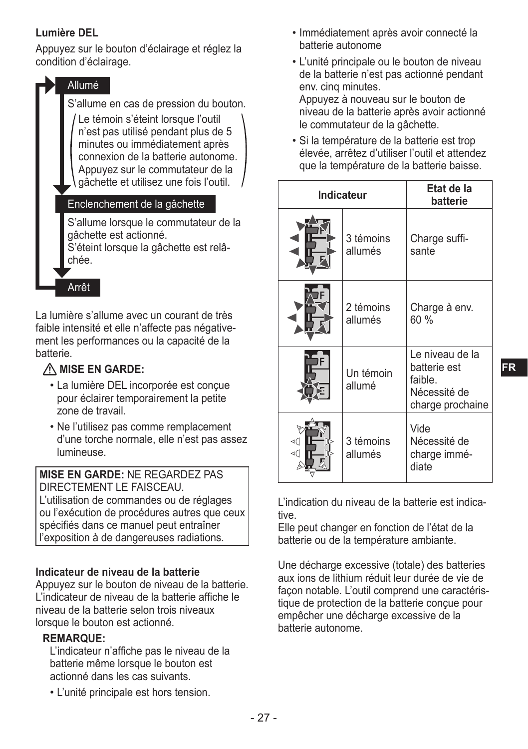#### **Lumière DEL**

Appuyez sur le bouton d'éclairage et réglez la condition d'éclairage.

> Allumé S'allume en cas de pression du bouton. Le témoin s'éteint lorsque l'outil n'est pas utilisé pendant plus de 5 minutes ou immédiatement après connexion de la batterie autonome. Appuyez sur le commutateur de la gâchette et utilisez une fois l'outil. Enclenchement de la gâchette

S'allume lorsque le commutateur de la gâchette est actionné.

S'éteint lorsque la gâchette est relâchée.

Arrêt

La lumière s'allume avec un courant de très faible intensité et elle n'affecte pas négativement les performances ou la capacité de la batterie.

#### **A. MISE EN GARDE:**

- La lumière DEL incorporée est conçue pour éclairer temporairement la petite zone de travail.
- Ne l'utilisez pas comme remplacement d'une torche normale, elle n'est pas assez lumineuse.

**MISE EN GARDE:** NE REGARDEZ PAS DIRECTEMENT LE FAISCEAU.

L'utilisation de commandes ou de réglages ou l'exécution de procédures autres que ceux spécifiés dans ce manuel peut entraîner l'exposition à de dangereuses radiations.

#### **Indicateur de niveau de la batterie**

Appuyez sur le bouton de niveau de la batterie. L'indicateur de niveau de la batterie affiche le niveau de la batterie selon trois niveaux lorsque le bouton est actionné.

#### **REMARQUE:**

L'indicateur n'affiche pas le niveau de la batterie même lorsque le bouton est actionné dans les cas suivants.

• L'unité principale est hors tension.

- Immédiatement après avoir connecté la batterie autonome
- L'unité principale ou le bouton de niveau de la batterie n'est pas actionné pendant env. cinq minutes. Appuyez à nouveau sur le bouton de niveau de la batterie après avoir actionné

le commutateur de la gâchette.

• Si la température de la batterie est trop élevée, arrêtez d'utiliser l'outil et attendez que la température de la batterie baisse.

| Indicateur           |                      | Etat de la<br>batterie                                                         |
|----------------------|----------------------|--------------------------------------------------------------------------------|
| 3 témoins<br>allumés |                      | Charge suffi-<br>sante                                                         |
|                      | 2 témoins<br>allumés | Charge à env.<br>60%                                                           |
|                      | Un témoin<br>allumé  | Le niveau de la<br>batterie est<br>faible.<br>Nécessité de<br>charge prochaine |
| ⊲₫<br>⊲(             | 3 témoins<br>allumés | Vide<br>Nécessité de<br>charge immé-<br>diate                                  |

L'indication du niveau de la batterie est indicative.

Elle peut changer en fonction de l'état de la batterie ou de la température ambiante.

Une décharge excessive (totale) des batteries aux ions de lithium réduit leur durée de vie de façon notable. L'outil comprend une caractéristique de protection de la batterie concue pour empêcher une décharge excessive de la batterie autonome.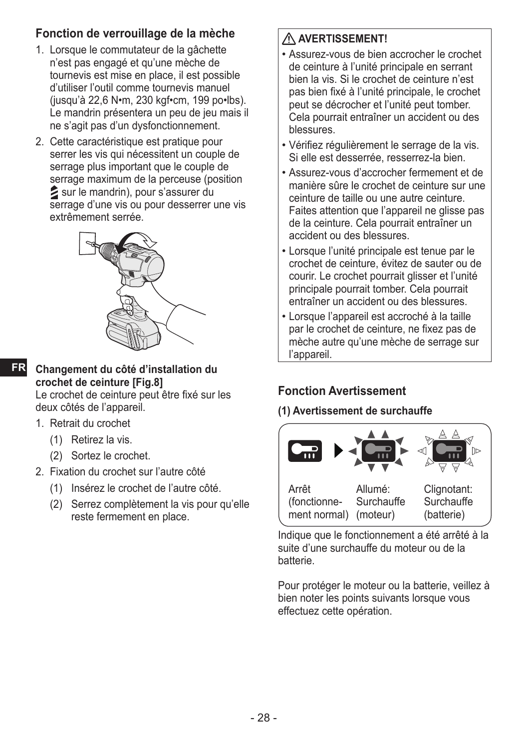#### **Fonction de verrouillage de la mèche**

- 1. Lorsque le commutateur de la gâchette n'est pas engagé et qu'une mèche de tournevis est mise en place, il est possible d'utiliser l'outil comme tournevis manuel (jusqu'à 22,6 N•m, 230 kgf•cm, 199 po•lbs). Le mandrin présentera un peu de jeu mais il ne s'agit pas d'un dysfonctionnement.
- 2. Cette caractéristique est pratique pour serrer les vis qui nécessitent un couple de serrage plus important que le couple de serrage maximum de la perceuse (position sur le mandrin), pour s'assurer du serrage d'une vis ou pour desserrer une vis extrêmement serrée.



**FR Changement du côté d'installation du crochet de ceinture [Fig.8]**

Le crochet de ceinture peut être fixé sur les deux côtés de l'appareil.

- 1. Retrait du crochet
	- (1) Retirez la vis.
	- (2) Sortez le crochet.
- 2. Fixation du crochet sur l'autre côté
	- (1) Insérez le crochet de l'autre côté.
	- (2) Serrez complètement la vis pour qu'elle reste fermement en place.

#### **AVERTISSEMENT!**

- Assurez-vous de bien accrocher le crochet de ceinture à l'unité principale en serrant bien la vis. Si le crochet de ceinture n'est pas bien fixé à l'unité principale, le crochet peut se décrocher et l'unité peut tomber. Cela pourrait entraîner un accident ou des blessures.
- Vérifiez régulièrement le serrage de la vis. Si elle est desserrée, resserrez-la bien.
- Assurez-vous d'accrocher fermement et de manière sûre le crochet de ceinture sur une ceinture de taille ou une autre ceinture. Faites attention que l'appareil ne glisse pas de la ceinture. Cela pourrait entraîner un accident ou des blessures.
- Lorsque l'unité principale est tenue par le crochet de ceinture, évitez de sauter ou de courir. Le crochet pourrait glisser et l'unité principale pourrait tomber. Cela pourrait entraîner un accident ou des blessures.
- Lorsque l'appareil est accroché à la taille par le crochet de ceinture, ne fixez pas de mèche autre qu'une mèche de serrage sur l'appareil.

#### **Fonction Avertissement**

#### **(1) Avertissement de surchauffe**



Indique que le fonctionnement a été arrêté à la suite d'une surchauffe du moteur ou de la batterie.

Pour protéger le moteur ou la batterie, veillez à bien noter les points suivants lorsque vous effectuez cette opération.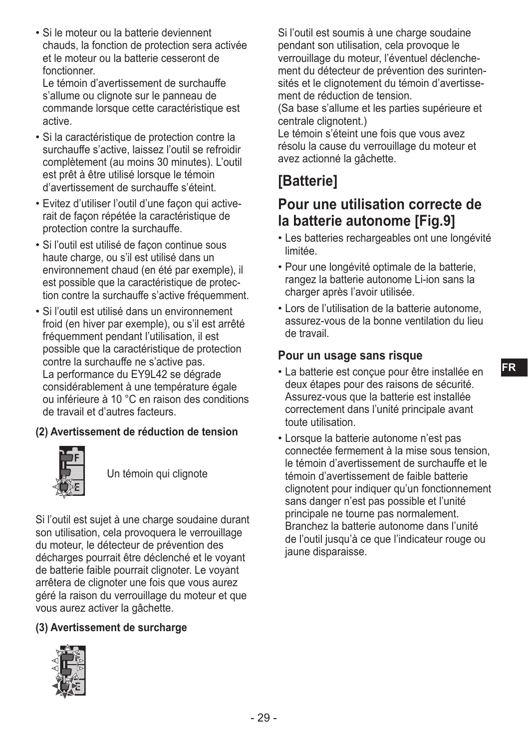• Si le moteur ou la batterie deviennent chauds, la fonction de protection sera activée et le moteur ou la batterie cesseront de fonctionner.

Le témoin d'avertissement de surchauffe s'allume ou clignote sur le panneau de commande lorsque cette caractéristique est active.

- Si la caractéristique de protection contre la surchauffe s'active, laissez l'outil se refroidir complètement (au moins 30 minutes). L'outil est prêt à être utilisé lorsque le témoin d'avertissement de surchauffe s'éteint.
- Evitez d'utiliser l'outil d'une façon qui activerait de façon répétée la caractéristique de protection contre la surchauffe.
- Si l'outil est utilisé de façon continue sous haute charge, ou s'il est utilisé dans un environnement chaud (en été par exemple), il est possible que la caractéristique de protection contre la surchauffe s'active fréquemment.
- Si l'outil est utilisé dans un environnement froid (en hiver par exemple), ou s'il est arrêté fréquemment pendant l'utilisation, il est possible que la caractéristique de protection contre la surchauffe ne s'active pas. La performance du EY9L42 se dégrade considérablement à une température égale ou inférieure à 10 °C en raison des conditions de travail et d'autres facteurs.

#### **(2) Avertissement de réduction de tension**



Un témoin qui clignote

Si l'outil est sujet à une charge soudaine durant son utilisation, cela provoquera le verrouillage du moteur, le détecteur de prévention des décharges pourrait être déclenché et le voyant de batterie faible pourrait clignoter. Le voyant arrêtera de clignoter une fois que vous aurez géré la raison du verrouillage du moteur et que vous aurez activer la gâchette.

#### **(3) Avertissement de surcharge**



Si l'outil est soumis à une charge soudaine pendant son utilisation, cela provoque le verrouillage du moteur, l'éventuel déclenchement du détecteur de prévention des surintensités et le clignotement du témoin d'avertissement de réduction de tension.

(Sa base s'allume et les parties supérieure et centrale clignotent.)

Le témoin s'éteint une fois que vous avez résolu la cause du verrouillage du moteur et avez actionné la gâchette.

### **[Batterie]**

#### **Pour une utilisation correcte de la batterie autonome [Fig.9]**

- Les batteries rechargeables ont une longévité limitée.
- Pour une longévité optimale de la batterie, rangez la batterie autonome Li-ion sans la charger après l'avoir utilisée.
- Lors de l'utilisation de la batterie autonome, assurez-vous de la bonne ventilation du lieu de travail.

#### **Pour un usage sans risque**

- La batterie est conçue pour être installée en deux étapes pour des raisons de sécurité. Assurez-vous que la batterie est installée correctement dans l'unité principale avant toute utilisation.
- Lorsque la batterie autonome n'est pas connectée fermement à la mise sous tension, le témoin d'avertissement de surchauffe et le témoin d'avertissement de faible batterie clignotent pour indiquer qu'un fonctionnement sans danger n'est pas possible et l'unité principale ne tourne pas normalement. Branchez la batterie autonome dans l'unité de l'outil jusqu'à ce que l'indicateur rouge ou jaune disparaisse.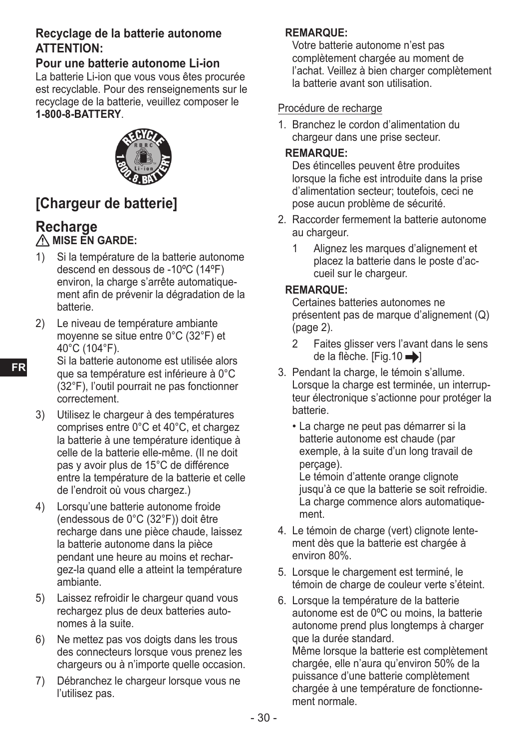#### **Recyclage de la batterie autonome ATTENTION:**

#### **Pour une batterie autonome Li-ion**

La batterie Li-ion que vous vous êtes procurée est recyclable. Pour des renseignements sur le recyclage de la batterie, veuillez composer le **1-800-8-BATTERY**.



### **[Chargeur de batterie]**

#### **Recharge** *A* MISE EN GARDE:

- 1) Si la température de la batterie autonome descend en dessous de -10ºC (14ºF) environ, la charge s'arrête automatiquement afin de prévenir la dégradation de la batterie.
- 2) Le niveau de température ambiante moyenne se situe entre 0°C (32°F) et 40°C (104°F).
- Si la batterie autonome est utilisée alors que sa température est inférieure à 0°C (32°F), l'outil pourrait ne pas fonctionner correctement.
- 3) Utilisez le chargeur à des températures comprises entre 0°C et 40°C, et chargez la batterie à une température identique à celle de la batterie elle-même. (Il ne doit pas y avoir plus de 15°C de différence entre la température de la batterie et celle de l'endroit où vous chargez.)
- 4) Lorsqu'une batterie autonome froide (endessous de 0°C (32°F)) doit être recharge dans une pièce chaude, laissez la batterie autonome dans la pièce pendant une heure au moins et rechargez-la quand elle a atteint la température ambiante.
- 5) Laissez refroidir le chargeur quand vous rechargez plus de deux batteries autonomes à la suite.
- 6) Ne mettez pas vos doigts dans les trous des connecteurs lorsque vous prenez les chargeurs ou à n'importe quelle occasion.
- 7) Débranchez le chargeur lorsque vous ne l'utilisez pas.

#### **REMARQUE:**

Votre batterie autonome n'est pas complètement chargée au moment de l'achat. Veillez à bien charger complètement la batterie avant son utilisation.

#### Procédure de recharge

1. Branchez le cordon d'alimentation du chargeur dans une prise secteur.

#### **REMARQUE:**

Des étincelles peuvent être produites lorsque la fiche est introduite dans la prise d'alimentation secteur; toutefois, ceci ne pose aucun problème de sécurité.

- 2. Raccorder fermement la batterie autonome au chargeur.
	- 1 Alignez les marques d'alignement et placez la batterie dans le poste d'accueil sur le chargeur.

#### **REMARQUE:**

Certaines batteries autonomes ne présentent pas de marque d'alignement (Q) (page 2).

- 2 Faites glisser vers l'avant dans le sens de la flèche. [Fig.10  $\rightarrow$ ]
- 3. Pendant la charge, le témoin s'allume. Lorsque la charge est terminée, un interrupteur électronique s'actionne pour protéger la batterie.
	- La charge ne peut pas démarrer si la batterie autonome est chaude (par exemple, à la suite d'un long travail de perçage). Le témoin d'attente orange clignote jusqu'à ce que la batterie se soit refroidie. La charge commence alors automatiquement.
- 4. Le témoin de charge (vert) clignote lentement dès que la batterie est chargée à environ 80%.
- 5. Lorsque le chargement est terminé, le témoin de charge de couleur verte s'éteint.
- 6. Lorsque la température de la batterie autonome est de 0ºC ou moins, la batterie autonome prend plus longtemps à charger que la durée standard. Même lorsque la batterie est complètement chargée, elle n'aura qu'environ 50% de la puissance d'une batterie complètement chargée à une température de fonctionnement normale.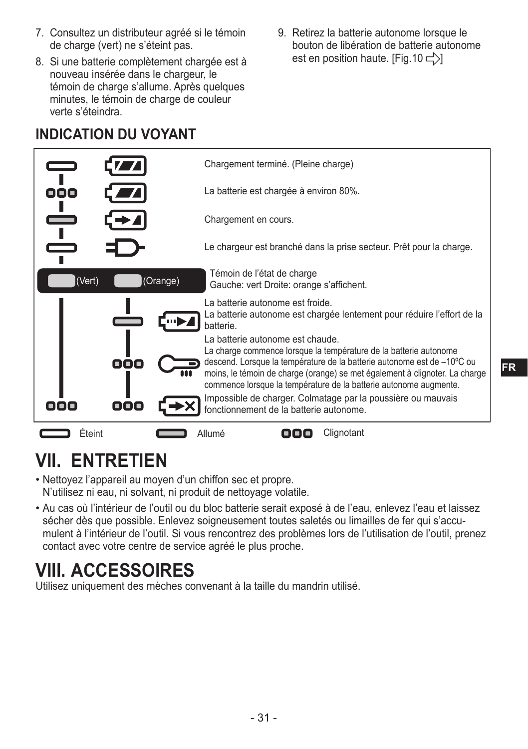- 7. Consultez un distributeur agréé si le témoin de charge (vert) ne s'éteint pas.
- 8. Si une batterie complètement chargée est à nouveau insérée dans le chargeur, le témoin de charge s'allume. Après quelques minutes, le témoin de charge de couleur verte s'éteindra.
- 9. Retirez la batterie autonome lorsque le bouton de libération de batterie autonome est en position haute. [Fig.10  $\leftarrow$ )]

### **INDICATION DU VOYANT**



## **VII. ENTRETIEN**

- Nettoyez l'appareil au moyen d'un chiffon sec et propre. N'utilisez ni eau, ni solvant, ni produit de nettoyage volatile.
- Au cas où l'intérieur de l'outil ou du bloc batterie serait exposé à de l'eau, enlevez l'eau et laissez sécher dès que possible. Enlevez soigneusement toutes saletés ou limailles de fer qui s'accumulent à l'intérieur de l'outil. Si vous rencontrez des problèmes lors de l'utilisation de l'outil, prenez contact avec votre centre de service agréé le plus proche.

## **VIII. ACCESSOIRES**

Utilisez uniquement des mèches convenant à la taille du mandrin utilisé.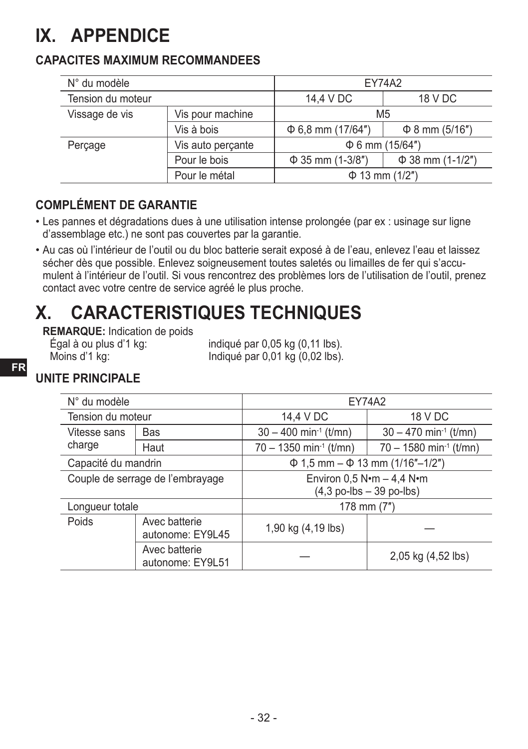## **IX. APPENDICE**

#### **CAPACITES MAXIMUM RECOMMANDEES**

| N° du modèle      |                   | <b>EY74A2</b>          |                       |  |
|-------------------|-------------------|------------------------|-----------------------|--|
| Tension du moteur |                   | 14,4 V DC<br>18 V DC   |                       |  |
| Vissage de vis    | Vis pour machine  | M <sub>5</sub>         |                       |  |
|                   | Vis à bois        | $\Phi$ 6,8 mm (17/64") | $\Phi$ 8 mm (5/16")   |  |
| Percage           | Vis auto perçante | $\Phi$ 6 mm (15/64")   |                       |  |
|                   | Pour le bois      | $\Phi$ 35 mm (1-3/8")  | $\Phi$ 38 mm (1-1/2") |  |
|                   | Pour le métal     | $\Phi$ 13 mm (1/2")    |                       |  |

#### **COMPLÉMENT DE GARANTIE**

- Les pannes et dégradations dues à une utilisation intense prolongée (par ex : usinage sur ligne d'assemblage etc.) ne sont pas couvertes par la garantie.
- Au cas où l'intérieur de l'outil ou du bloc batterie serait exposé à de l'eau, enlevez l'eau et laissez sécher dès que possible. Enlevez soigneusement toutes saletés ou limailles de fer qui s'accumulent à l'intérieur de l'outil. Si vous rencontrez des problèmes lors de l'utilisation de l'outil, prenez contact avec votre centre de service agréé le plus proche.

## **X. CARACTERISTIQUES TECHNIQUES**

**REMARQUE:** Indication de poids<br>
Eqal à ou plus d'1 kq:

Égal à ou plus d'1 kg:<br>Moins d'1 kg: indiqué par 0,05 kg (0,02 lbs). Indiqué par 0,01 kg (0,02 lbs).

#### **UNITE PRINCIPALE**

| N° du modèle                      |                                   | EY74A2                                     |                                           |  |
|-----------------------------------|-----------------------------------|--------------------------------------------|-------------------------------------------|--|
| Tension du moteur                 |                                   | 14,4 V DC                                  | 18 V DC                                   |  |
| Vitesse sans                      | Bas                               | $30 - 400$ min <sup>-1</sup> (t/mn)        | $30 - 470$ min <sup>-1</sup> (t/mn)       |  |
| charge                            | Haut                              | $70 - 1350$ min <sup>-1</sup> (t/mn)       | $70 - 1580$ min <sup>-1</sup> (t/mn)      |  |
| Capacité du mandrin               |                                   |                                            | $\Phi$ 1,5 mm – $\Phi$ 13 mm (1/16"–1/2") |  |
| Couple de serrage de l'embrayage  |                                   | Environ 0.5 $N \cdot m - 4.4 N \cdot m$    |                                           |  |
|                                   |                                   | $(4,3 \text{ po-lbs} - 39 \text{ po-lbs})$ |                                           |  |
| Longueur totale                   |                                   |                                            | 178 mm (7")                               |  |
| Poids                             | Avec batterie<br>autonome: EY9L45 | 1,90 kg (4,19 lbs)                         |                                           |  |
| Avec batterie<br>autonome: EY9L51 |                                   |                                            | 2,05 kg (4,52 lbs)                        |  |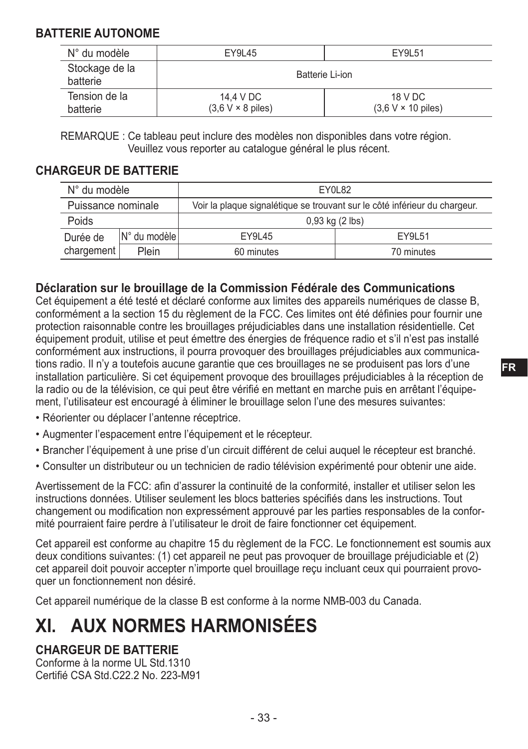#### **BATTERIE AUTONOME**

| N° du modèle               | EY9L51<br>EY9L45                      |                                              |  |
|----------------------------|---------------------------------------|----------------------------------------------|--|
| Stockage de la<br>batterie | Batterie Li-ion                       |                                              |  |
| Tension de la<br>batterie  | 14.4 V DC<br>$(3.6 V \times 8$ piles) | 18 V DC<br>$(3.6 V \times 10 \text{ piles})$ |  |

REMARQUE : Ce tableau peut inclure des modèles non disponibles dans votre région. Veuillez vous reporter au catalogue général le plus récent.

#### **CHARGEUR DE BATTERIE**

| N° du modèle       |                 | EY0L82                                                                     |  |  |
|--------------------|-----------------|----------------------------------------------------------------------------|--|--|
| Puissance nominale |                 | Voir la plaque signalétique se trouvant sur le côté inférieur du chargeur. |  |  |
| Poids              |                 | $0.93$ kg $(2$ lbs)                                                        |  |  |
| Durée de           | IN° du modèle l | EY9L51<br>EY9L45                                                           |  |  |
| chargement         | Plein           | 60 minutes<br>70 minutes                                                   |  |  |

#### **Déclaration sur le brouillage de la Commission Fédérale des Communications**

Cet équipement a été testé et déclaré conforme aux limites des appareils numériques de classe B, conformément a la section 15 du règlement de la FCC. Ces limites ont été définies pour fournir une protection raisonnable contre les brouillages préjudiciables dans une installation résidentielle. Cet équipement produit, utilise et peut émettre des énergies de fréquence radio et s'il n'est pas installé conformément aux instructions, il pourra provoquer des brouillages préjudiciables aux communications radio. Il n'y a toutefois aucune garantie que ces brouillages ne se produisent pas lors d'une installation particulière. Si cet équipement provoque des brouillages préjudiciables à la réception de la radio ou de la télévision, ce qui peut être vérifié en mettant en marche puis en arrêtant l'équipement, l'utilisateur est encouragé à éliminer le brouillage selon l'une des mesures suivantes:

- Réorienter ou déplacer l'antenne réceptrice.
- Augmenter l'espacement entre l'équipement et le récepteur.
- Brancher l'équipement à une prise d'un circuit différent de celui auquel le récepteur est branché.
- Consulter un distributeur ou un technicien de radio télévision expérimenté pour obtenir une aide.

Avertissement de la FCC: afin d'assurer la continuité de la conformité, installer et utiliser selon les instructions données. Utiliser seulement les blocs batteries spécifiés dans les instructions. Tout changement ou modification non expressément approuvé par les parties responsables de la conformité pourraient faire perdre à l'utilisateur le droit de faire fonctionner cet équipement.

Cet appareil est conforme au chapitre 15 du règlement de la FCC. Le fonctionnement est soumis aux deux conditions suivantes: (1) cet appareil ne peut pas provoquer de brouillage préjudiciable et (2) cet appareil doit pouvoir accepter n'importe quel brouillage reçu incluant ceux qui pourraient provoquer un fonctionnement non désiré.

Cet appareil numérique de la classe B est conforme à la norme NMB-003 du Canada.

## **XI. AUX NORMES HARMONISÉES**

#### **CHARGEUR DE BATTERIE**

Conforme à la norme UL Std.1310 Certifié CSA Std.C22.2 No. 223-M91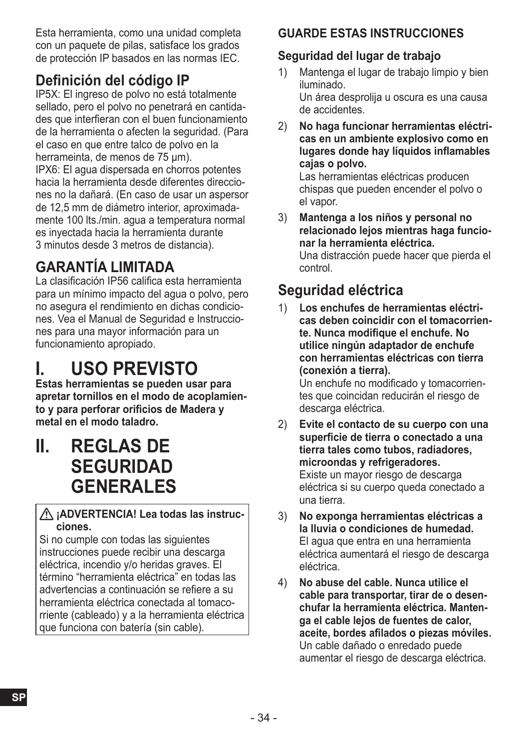Esta herramienta, como una unidad completa con un paquete de pilas, satisface los grados de protección IP basados en las normas IEC.

### **Definición del código IP**

IP5X: El ingreso de polvo no está totalmente sellado, pero el polvo no penetrará en cantidades que interfieran con el buen funcionamiento de la herramienta o afecten la seguridad. (Para el caso en que entre talco de polvo en la herrameinta, de menos de 75 μm). IPX6: El agua dispersada en chorros potentes hacia la herramienta desde diferentes direcciones no la dañará. (En caso de usar un aspersor de 12,5 mm de diámetro interior, aproximadamente 100 lts./min. agua a temperatura normal es inyectada hacia la herramienta durante 3 minutos desde 3 metros de distancia).

## **GARANTÍA LIMITADA**

La clasificación IP56 califica esta herramienta para un mínimo impacto del agua o polvo, pero no asegura el rendimiento en dichas condiciones. Vea el Manual de Seguridad e Instrucciones para una mayor información para un funcionamiento apropiado.

## **I. USO PREVISTO**

**Estas herramientas se pueden usar para apretar tornillos en el modo de acoplamiento y para perforar orificios de Madera y metal en el modo taladro.**

**II. REGLAS DE SEGURIDAD GENERALES**

#### **¡ADVERTENCIA! Lea todas las instrucciones.**

Si no cumple con todas las siguientes instrucciones puede recibir una descarga eléctrica, incendio y/o heridas graves. El término "herramienta eléctrica" en todas las advertencias a continuación se refiere a su herramienta eléctrica conectada al tomacorriente (cableado) y a la herramienta eléctrica que funciona con batería (sin cable).

#### **GUARDE ESTAS INSTRUCCIONES**

#### **Seguridad del lugar de trabajo**

- 1) Mantenga el lugar de trabajo limpio y bien iluminado. Un área desprolija u oscura es una causa de accidentes.
- 2) **No haga funcionar herramientas eléctricas en un ambiente explosivo como en lugares donde hay líquidos inflamables cajas o polvo.**

Las herramientas eléctricas producen chispas que pueden encender el polvo o el vapor.

3) **Mantenga a los niños y personal no relacionado lejos mientras haga funcionar la herramienta eléctrica.** Una distracción puede hacer que pierda el control.

## **Seguridad eléctrica**

1) **Los enchufes de herramientas eléctricas deben coincidir con el tomacorriente. Nunca modifique el enchufe. No utilice ningún adaptador de enchufe con herramientas eléctricas con tierra (conexión a tierra).**

Un enchufe no modificado y tomacorrientes que coincidan reducirán el riesgo de descarga eléctrica.

- 2) **Evite el contacto de su cuerpo con una superficie de tierra o conectado a una tierra tales como tubos, radiadores, microondas y refrigeradores.** Existe un mayor riesgo de descarga eléctrica si su cuerpo queda conectado a una tierra.
- 3) **No exponga herramientas eléctricas a la lluvia o condiciones de humedad.** El agua que entra en una herramienta eléctrica aumentará el riesgo de descarga eléctrica.
- 4) **No abuse del cable. Nunca utilice el cable para transportar, tirar de o desenchufar la herramienta eléctrica. Mantenga el cable lejos de fuentes de calor, aceite, bordes afilados o piezas móviles.** Un cable dañado o enredado puede aumentar el riesgo de descarga eléctrica.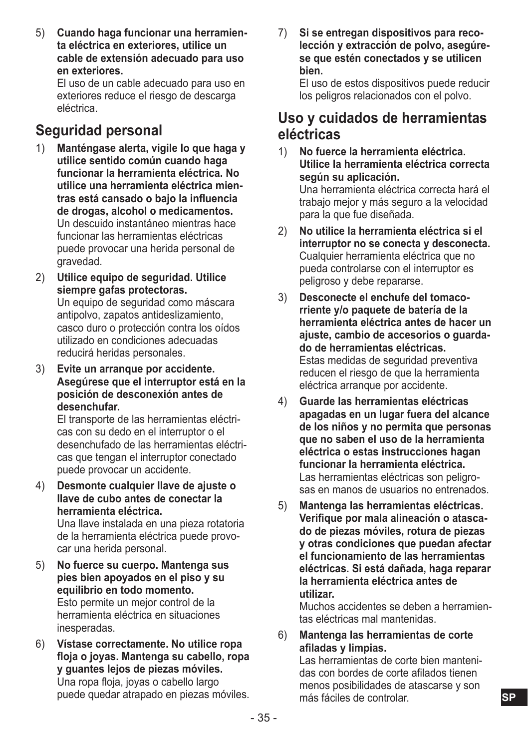5) **Cuando haga funcionar una herramienta eléctrica en exteriores, utilice un cable de extensión adecuado para uso en exteriores.**

El uso de un cable adecuado para uso en exteriores reduce el riesgo de descarga eléctrica.

### **Seguridad personal**

- 1) **Manténgase alerta, vigile lo que haga y utilice sentido común cuando haga funcionar la herramienta eléctrica. No utilice una herramienta eléctrica mientras está cansado o bajo la influencia de drogas, alcohol o medicamentos.** Un descuido instantáneo mientras hace funcionar las herramientas eléctricas puede provocar una herida personal de gravedad.
- 2) **Utilice equipo de seguridad. Utilice siempre gafas protectoras.** Un equipo de seguridad como máscara antipolvo, zapatos antideslizamiento, casco duro o protección contra los oídos utilizado en condiciones adecuadas reducirá heridas personales.
- 3) **Evite un arranque por accidente. Asegúrese que el interruptor está en la posición de desconexión antes de desenchufar.**

El transporte de las herramientas eléctricas con su dedo en el interruptor o el desenchufado de las herramientas eléctricas que tengan el interruptor conectado puede provocar un accidente.

4) **Desmonte cualquier llave de ajuste o llave de cubo antes de conectar la herramienta eléctrica.**

Una llave instalada en una pieza rotatoria de la herramienta eléctrica puede provocar una herida personal.

- 5) **No fuerce su cuerpo. Mantenga sus pies bien apoyados en el piso y su equilibrio en todo momento.** Esto permite un mejor control de la herramienta eléctrica en situaciones inesperadas.
- 6) **Vístase correctamente. No utilice ropa floja o joyas. Mantenga su cabello, ropa y guantes lejos de piezas móviles.** Una ropa floja, joyas o cabello largo puede quedar atrapado en piezas móviles.

7) **Si se entregan dispositivos para recolección y extracción de polvo, asegúrese que estén conectados y se utilicen bien.**

El uso de estos dispositivos puede reducir los peligros relacionados con el polvo.

#### **Uso y cuidados de herramientas eléctricas**

- 1) **No fuerce la herramienta eléctrica. Utilice la herramienta eléctrica correcta según su aplicación.** Una herramienta eléctrica correcta hará el trabajo mejor y más seguro a la velocidad para la que fue diseñada.
- 2) **No utilice la herramienta eléctrica si el interruptor no se conecta y desconecta.** Cualquier herramienta eléctrica que no pueda controlarse con el interruptor es peligroso y debe repararse.
- 3) **Desconecte el enchufe del tomacorriente y/o paquete de batería de la herramienta eléctrica antes de hacer un ajuste, cambio de accesorios o guardado de herramientas eléctricas.** Estas medidas de seguridad preventiva reducen el riesgo de que la herramienta eléctrica arranque por accidente.
- 4) **Guarde las herramientas eléctricas apagadas en un lugar fuera del alcance de los niños y no permita que personas que no saben el uso de la herramienta eléctrica o estas instrucciones hagan funcionar la herramienta eléctrica.** Las herramientas eléctricas son peligrosas en manos de usuarios no entrenados.
- 5) **Mantenga las herramientas eléctricas. Verifique por mala alineación o atascado de piezas móviles, rotura de piezas y otras condiciones que puedan afectar el funcionamiento de las herramientas eléctricas. Si está dañada, haga reparar la herramienta eléctrica antes de utilizar.**

Muchos accidentes se deben a herramientas eléctricas mal mantenidas.

6) **Mantenga las herramientas de corte afiladas y limpias.**

Las herramientas de corte bien mantenidas con bordes de corte afilados tienen menos posibilidades de atascarse y son más fáciles de controlar.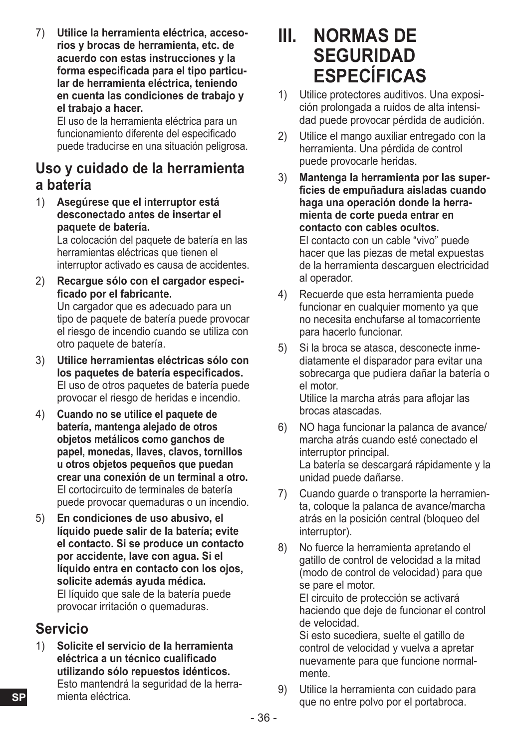7) **Utilice la herramienta eléctrica, accesorios y brocas de herramienta, etc. de acuerdo con estas instrucciones y la forma especificada para el tipo particular de herramienta eléctrica, teniendo en cuenta las condiciones de trabajo y el trabajo a hacer.**

El uso de la herramienta eléctrica para un funcionamiento diferente del especificado puede traducirse en una situación peligrosa.

#### **Uso y cuidado de la herramienta a batería**

1) **Asegúrese que el interruptor está desconectado antes de insertar el paquete de batería.**

La colocación del paquete de batería en las herramientas eléctricas que tienen el interruptor activado es causa de accidentes.

- 2) **Recargue sólo con el cargador especificado por el fabricante.** Un cargador que es adecuado para un tipo de paquete de batería puede provocar el riesgo de incendio cuando se utiliza con otro paquete de batería.
- 3) **Utilice herramientas eléctricas sólo con los paquetes de batería especificados.** El uso de otros paquetes de batería puede provocar el riesgo de heridas e incendio.
- 4) **Cuando no se utilice el paquete de batería, mantenga alejado de otros objetos metálicos como ganchos de papel, monedas, llaves, clavos, tornillos u otros objetos pequeños que puedan crear una conexión de un terminal a otro.** El cortocircuito de terminales de batería puede provocar quemaduras o un incendio.
- 5) **En condiciones de uso abusivo, el líquido puede salir de la batería; evite el contacto. Si se produce un contacto por accidente, lave con agua. Si el líquido entra en contacto con los ojos, solicite además ayuda médica.** El líquido que sale de la batería puede provocar irritación o quemaduras.

### **Servicio**

**SP**

1) **Solicite el servicio de la herramienta eléctrica a un técnico cualificado utilizando sólo repuestos idénticos.** Esto mantendrá la seguridad de la herramienta eléctrica.

## **III. NORMAS DE SEGURIDAD ESPECÍFICAS**

- 1) Utilice protectores auditivos. Una exposición prolongada a ruidos de alta intensidad puede provocar pérdida de audición.
- 2) Utilice el mango auxiliar entregado con la herramienta. Una pérdida de control puede provocarle heridas.
- 3) **Mantenga la herramienta por las superficies de empuñadura aisladas cuando haga una operación donde la herramienta de corte pueda entrar en contacto con cables ocultos.** El contacto con un cable "vivo" puede hacer que las piezas de metal expuestas de la herramienta descarguen electricidad al operador.
- 4) Recuerde que esta herramienta puede funcionar en cualquier momento va que no necesita enchufarse al tomacorriente para hacerlo funcionar.
- 5) Si la broca se atasca, desconecte inmediatamente el disparador para evitar una sobrecarga que pudiera dañar la batería o el motor. Utilice la marcha atrás para aflojar las brocas atascadas.
- 6) NO haga funcionar la palanca de avance/ marcha atrás cuando esté conectado el interruptor principal. La batería se descargará rápidamente y la unidad puede dañarse.
- 7) Cuando guarde o transporte la herramienta, coloque la palanca de avance/marcha atrás en la posición central (bloqueo del interruptor).
- 8) No fuerce la herramienta apretando el gatillo de control de velocidad a la mitad (modo de control de velocidad) para que se pare el motor.

El circuito de protección se activará haciendo que deje de funcionar el control de velocidad.

Si esto sucediera, suelte el gatillo de control de velocidad y vuelva a apretar nuevamente para que funcione normalmente.

9) Utilice la herramienta con cuidado para que no entre polvo por el portabroca.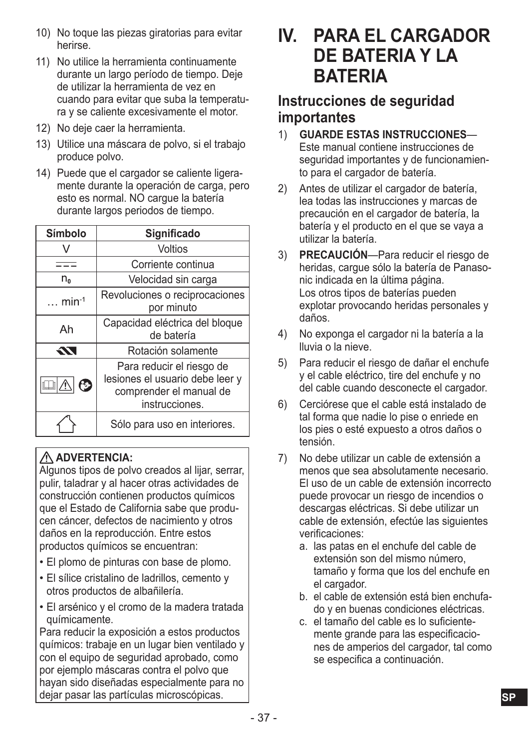- 10) No toque las piezas giratorias para evitar herirse.
- 11) No utilice la herramienta continuamente durante un largo período de tiempo. Deje de utilizar la herramienta de vez en cuando para evitar que suba la temperatura y se caliente excesivamente el motor.
- 12) No deje caer la herramienta.
- 13) Utilice una máscara de polvo, si el trabajo produce polvo.
- 14) Puede que el cargador se caliente ligeramente durante la operación de carga, pero esto es normal. NO cargue la batería durante largos periodos de tiempo.

| Símbolo        | Significado                                                                                               |  |  |
|----------------|-----------------------------------------------------------------------------------------------------------|--|--|
|                | Voltios                                                                                                   |  |  |
|                | Corriente continua                                                                                        |  |  |
| n <sub>o</sub> | Velocidad sin carga                                                                                       |  |  |
| $\ldots$ min-1 | Revoluciones o reciprocaciones<br>por minuto                                                              |  |  |
| Ah             | Capacidad eléctrica del bloque<br>de batería                                                              |  |  |
| 55             | Rotación solamente                                                                                        |  |  |
| ❻<br>⚠         | Para reducir el riesgo de<br>lesiones el usuario debe leer y<br>comprender el manual de<br>instrucciones. |  |  |
|                | Sólo para uso en interiores.                                                                              |  |  |

#### **ADVERTENCIA:**

Algunos tipos de polvo creados al lijar, serrar, pulir, taladrar y al hacer otras actividades de construcción contienen productos químicos que el Estado de California sabe que producen cáncer, defectos de nacimiento y otros daños en la reproducción. Entre estos productos químicos se encuentran:

- El plomo de pinturas con base de plomo.
- El sílice cristalino de ladrillos, cemento y otros productos de albañilería.
- El arsénico y el cromo de la madera tratada químicamente.

Para reducir la exposición a estos productos químicos: trabaje en un lugar bien ventilado y con el equipo de seguridad aprobado, como por ejemplo máscaras contra el polvo que hayan sido diseñadas especialmente para no dejar pasar las partículas microscópicas.

## **IV. PARA EL CARGADOR DE BATERIA Y LA BATERIA**

### **Instrucciones de seguridad importantes**

- 1) **GUARDE ESTAS INSTRUCCIONES** Este manual contiene instrucciones de seguridad importantes y de funcionamiento para el cargador de batería.
- 2) Antes de utilizar el cargador de batería, lea todas las instrucciones y marcas de precaución en el cargador de batería, la batería y el producto en el que se vaya a utilizar la batería.
- 3) **PRECAUCIÓN**—Para reducir el riesgo de heridas, cargue sólo la batería de Panasonic indicada en la última página. Los otros tipos de baterías pueden explotar provocando heridas personales y daños.
- 4) No exponga el cargador ni la batería a la lluvia o la nieve.
- 5) Para reducir el riesgo de dañar el enchufe y el cable eléctrico, tire del enchufe y no del cable cuando desconecte el cargador.
- 6) Cerciórese que el cable está instalado de tal forma que nadie lo pise o enriede en los pies o esté expuesto a otros daños o tensión.
- 7) No debe utilizar un cable de extensión a menos que sea absolutamente necesario. El uso de un cable de extensión incorrecto puede provocar un riesgo de incendios o descargas eléctricas. Si debe utilizar un cable de extensión, efectúe las siguientes verificaciones:
	- a. las patas en el enchufe del cable de extensión son del mismo número. tamaño y forma que los del enchufe en el cargador.
	- b. el cable de extensión está bien enchufado y en buenas condiciones eléctricas.
	- c. el tamaño del cable es lo suficientemente grande para las especificaciones de amperios del cargador, tal como se especifica a continuación.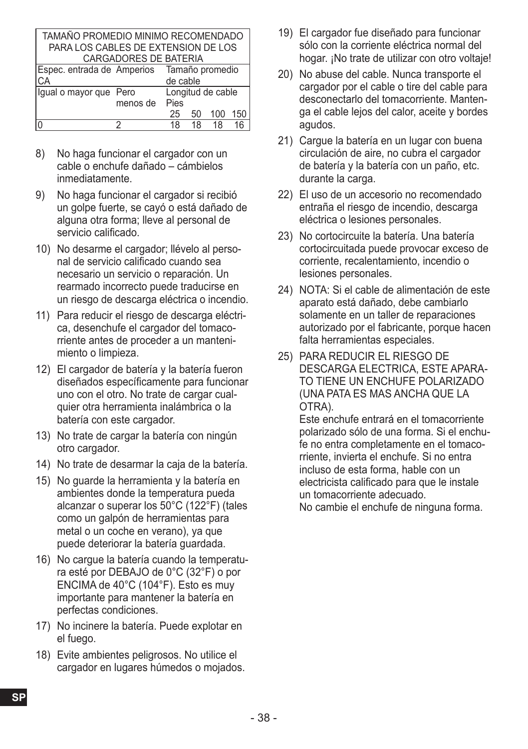| TAMAÑO PROMEDIO MINIMO RECOMENDADO  |                                             |      |    |     |     |
|-------------------------------------|---------------------------------------------|------|----|-----|-----|
| PARA LOS CABLES DE EXTENSION DE LOS |                                             |      |    |     |     |
|                                     | CARGADORES DE BATERIA                       |      |    |     |     |
|                                     | Espec. entrada de Amperios Tamaño promedio  |      |    |     |     |
| CA                                  | de cable                                    |      |    |     |     |
|                                     | Longitud de cable<br>Igual o mayor que Pero |      |    |     |     |
|                                     | menos de                                    | Pies |    |     |     |
|                                     |                                             | 25   | 50 | 100 | 150 |
|                                     |                                             | 18   | 18 | 18  | 16  |

- 8) No haga funcionar el cargador con un cable o enchufe dañado – cámbielos inmediatamente.
- 9) No haga funcionar el cargador si recibió un golpe fuerte, se cayó o está dañado de alguna otra forma; lleve al personal de servicio calificado.
- 10) No desarme el cargador; llévelo al personal de servicio calificado cuando sea necesario un servicio o reparación. Un rearmado incorrecto puede traducirse en un riesgo de descarga eléctrica o incendio.
- 11) Para reducir el riesgo de descarga eléctrica, desenchufe el cargador del tomacorriente antes de proceder a un mantenimiento o limpieza.
- 12) El cargador de batería y la batería fueron diseñados específicamente para funcionar uno con el otro. No trate de cargar cualquier otra herramienta inalámbrica o la batería con este cargador.
- 13) No trate de cargar la batería con ningún otro cargador.
- 14) No trate de desarmar la caja de la batería.
- 15) No guarde la herramienta y la batería en ambientes donde la temperatura pueda alcanzar o superar los 50°C (122°F) (tales como un galpón de herramientas para metal o un coche en verano), ya que puede deteriorar la batería guardada.
- 16) No cargue la batería cuando la temperatura esté por DEBAJO de 0°C (32°F) o por ENCIMA de 40°C (104°F). Esto es muy importante para mantener la batería en perfectas condiciones.
- 17) No incinere la batería. Puede explotar en el fuego.
- 18) Evite ambientes peligrosos. No utilice el cargador en lugares húmedos o mojados.
- 19) El cargador fue diseñado para funcionar sólo con la corriente eléctrica normal del hogar. ¡No trate de utilizar con otro voltaje!
- 20) No abuse del cable. Nunca transporte el cargador por el cable o tire del cable para desconectarlo del tomacorriente. Mantenga el cable lejos del calor, aceite y bordes agudos.
- 21) Carque la batería en un lugar con buena circulación de aire, no cubra el cargador de batería y la batería con un paño, etc. durante la carga.
- 22) El uso de un accesorio no recomendado entraña el riesgo de incendio, descarga eléctrica o lesiones personales.
- 23) No cortocircuite la batería. Una batería cortocircuitada puede provocar exceso de corriente, recalentamiento, incendio o lesiones personales.
- 24) NOTA: Si el cable de alimentación de este aparato está dañado, debe cambiarlo solamente en un taller de reparaciones autorizado por el fabricante, porque hacen falta herramientas especiales.
- 25) PARA REDUCIR EL RIESGO DE DESCARGA ELECTRICA, ESTE APARA-TO TIENE UN ENCHUFE POLARIZADO (UNA PATA ES MAS ANCHA QUE LA OTRA).

Este enchufe entrará en el tomacorriente polarizado sólo de una forma. Si el enchufe no entra completamente en el tomacorriente, invierta el enchufe. Si no entra incluso de esta forma, hable con un electricista calificado para que le instale un tomacorriente adecuado.

No cambie el enchufe de ninguna forma.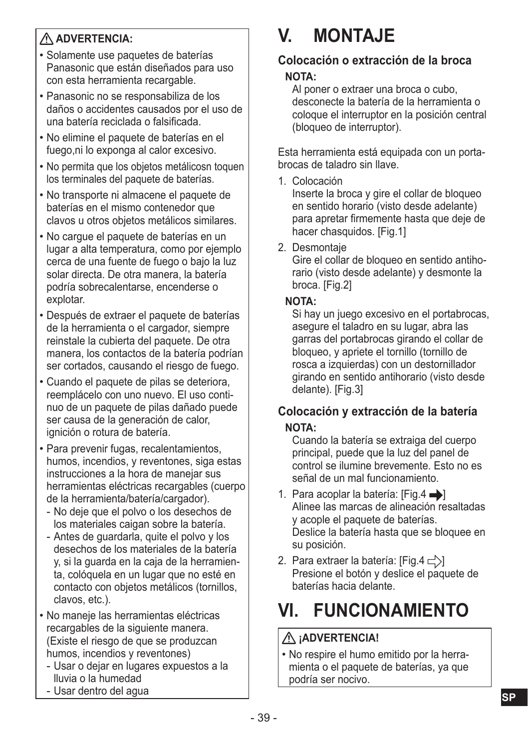#### **ADVERTENCIA:**

- Solamente use paquetes de baterías Panasonic que están diseñados para uso con esta herramienta recargable.
- Panasonic no se responsabiliza de los daños o accidentes causados por el uso de una batería reciclada o falsificada.
- No elimine el paquete de baterías en el fuego,ni lo exponga al calor excesivo.
- No permita que los objetos metálicosn toquen los terminales del paquete de baterías.
- No transporte ni almacene el paquete de baterías en el mismo contenedor que clavos u otros objetos metálicos similares.
- No cargue el paquete de baterías en un lugar a alta temperatura, como por ejemplo cerca de una fuente de fuego o bajo la luz solar directa. De otra manera, la batería podría sobrecalentarse, encenderse o explotar.
- Después de extraer el paquete de baterías de la herramienta o el cargador, siempre reinstale la cubierta del paquete. De otra manera, los contactos de la batería podrían ser cortados, causando el riesgo de fuego.
- Cuando el paquete de pilas se deteriora, reemplácelo con uno nuevo. El uso continuo de un paquete de pilas dañado puede ser causa de la generación de calor, ignición o rotura de batería.
- Para prevenir fugas, recalentamientos, humos, incendios, y reventones, siga estas instrucciones a la hora de manejar sus herramientas eléctricas recargables (cuerpo de la herramienta/batería/cargador).
	- No deje que el polvo o los desechos de los materiales caigan sobre la batería.
	- Antes de guardarla, quite el polvo y los desechos de los materiales de la batería y, si la guarda en la caja de la herramienta, colóquela en un lugar que no esté en contacto con objetos metálicos (tornillos, clavos, etc.).
- No maneje las herramientas eléctricas recargables de la siguiente manera. (Existe el riesgo de que se produzcan humos, incendios y reventones)
	- Usar o dejar en lugares expuestos a la lluvia o la humedad
	- Usar dentro del agua

## **V. MONTAJE**

#### **Colocación o extracción de la broca NOTA:**

Al poner o extraer una broca o cubo, desconecte la batería de la herramienta o coloque el interruptor en la posición central (bloqueo de interruptor).

Esta herramienta está equipada con un portabrocas de taladro sin llave.

1. Colocación

Inserte la broca y gire el collar de bloqueo en sentido horario (visto desde adelante) para apretar firmemente hasta que deje de hacer chasquidos. [Fig.1]

2. Desmontaje

Gire el collar de bloqueo en sentido antihorario (visto desde adelante) y desmonte la broca. [Fig.2]

#### **NOTA:**

Si hay un juego excesivo en el portabrocas, asegure el taladro en su lugar, abra las garras del portabrocas girando el collar de bloqueo, y apriete el tornillo (tornillo de rosca a izquierdas) con un destornillador girando en sentido antihorario (visto desde delante). [Fig.3]

#### **Colocación y extracción de la batería NOTA:**

Cuando la batería se extraiga del cuerpo principal, puede que la luz del panel de control se ilumine brevemente. Esto no es señal de un mal funcionamiento.

- 1. Para acoplar la batería:  $[Fig.4 \rightarrow]$ Alinee las marcas de alineación resaltadas y acople el paquete de baterías. Deslice la batería hasta que se bloquee en su posición.
- 2. Para extraer la batería:  $[Fig.4 \rightharpoonup]$ Presione el botón y deslice el paquete de baterías hacia delante.

## **VI. FUNCIONAMIENTO**

#### **¡ADVERTENCIA!**

• No respire el humo emitido por la herramienta o el paquete de baterías, ya que podría ser nocivo.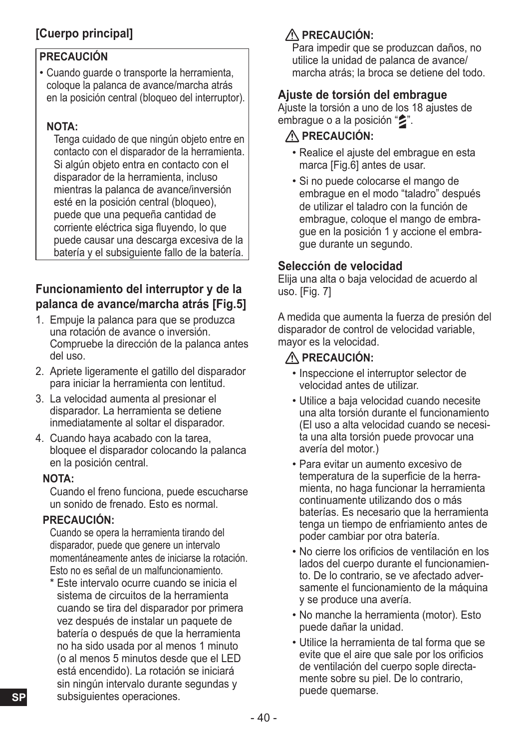### **[Cuerpo principal]**

#### **PRECAUCIÓN**

• Cuando guarde o transporte la herramienta, coloque la palanca de avance/marcha atrás en la posición central (bloqueo del interruptor).

#### **NOTA:**

Tenga cuidado de que ningún objeto entre en contacto con el disparador de la herramienta. Si algún objeto entra en contacto con el disparador de la herramienta, incluso mientras la palanca de avance/inversión esté en la posición central (bloqueo), puede que una pequeña cantidad de corriente eléctrica siga fluyendo, lo que puede causar una descarga excesiva de la batería y el subsiguiente fallo de la batería.

#### **Funcionamiento del interruptor y de la palanca de avance/marcha atrás [Fig.5]**

- 1. Empuje la palanca para que se produzca una rotación de avance o inversión. Compruebe la dirección de la palanca antes del uso.
- 2. Apriete ligeramente el gatillo del disparador para iniciar la herramienta con lentitud.
- 3. La velocidad aumenta al presionar el disparador. La herramienta se detiene inmediatamente al soltar el disparador.
- 4. Cuando haya acabado con la tarea, bloquee el disparador colocando la palanca en la posición central.

#### **NOTA:**

Cuando el freno funciona, puede escucharse un sonido de frenado. Esto es normal.

#### **PRECAUCIÓN:**

Cuando se opera la herramienta tirando del disparador, puede que genere un intervalo momentáneamente antes de iniciarse la rotación. Esto no es señal de un malfuncionamiento.

\* Este intervalo ocurre cuando se inicia el sistema de circuitos de la herramienta cuando se tira del disparador por primera vez después de instalar un paquete de batería o después de que la herramienta no ha sido usada por al menos 1 minuto (o al menos 5 minutos desde que el LED está encendido). La rotación se iniciará sin ningún intervalo durante segundas y subsiguientes operaciones.

### **PRECAUCIÓN:**

Para impedir que se produzcan daños, no utilice la unidad de palanca de avance/ marcha atrás; la broca se detiene del todo.

#### **Ajuste de torsión del embrague**

Ajuste la torsión a uno de los 18 ajustes de embrague o a la posición " $\blacktriangleright$ ".

#### **PRECAUCIÓN:**

- Realice el ajuste del embrague en esta marca [Fig.6] antes de usar.
- Si no puede colocarse el mango de embrague en el modo "taladro" después de utilizar el taladro con la función de embrague, coloque el mango de embrague en la posición 1 y accione el embrague durante un segundo.

#### **Selección de velocidad**

Elija una alta o baja velocidad de acuerdo al uso. [Fig. 7]

A medida que aumenta la fuerza de presión del disparador de control de velocidad variable, mayor es la velocidad.

#### **PRECAUCIÓN:**

- Inspeccione el interruptor selector de velocidad antes de utilizar.
- Utilice a baja velocidad cuando necesite una alta torsión durante el funcionamiento (El uso a alta velocidad cuando se necesita una alta torsión puede provocar una avería del motor.)
- Para evitar un aumento excesivo de temperatura de la superficie de la herramienta, no haga funcionar la herramienta continuamente utilizando dos o más baterías. Es necesario que la herramienta tenga un tiempo de enfriamiento antes de poder cambiar por otra batería.
- No cierre los orificios de ventilación en los lados del cuerpo durante el funcionamiento. De lo contrario, se ve afectado adversamente el funcionamiento de la máquina y se produce una avería.
- No manche la herramienta (motor). Esto puede dañar la unidad.
- Utilice la herramienta de tal forma que se evite que el aire que sale por los orificios de ventilación del cuerpo sople directamente sobre su piel. De lo contrario, puede quemarse.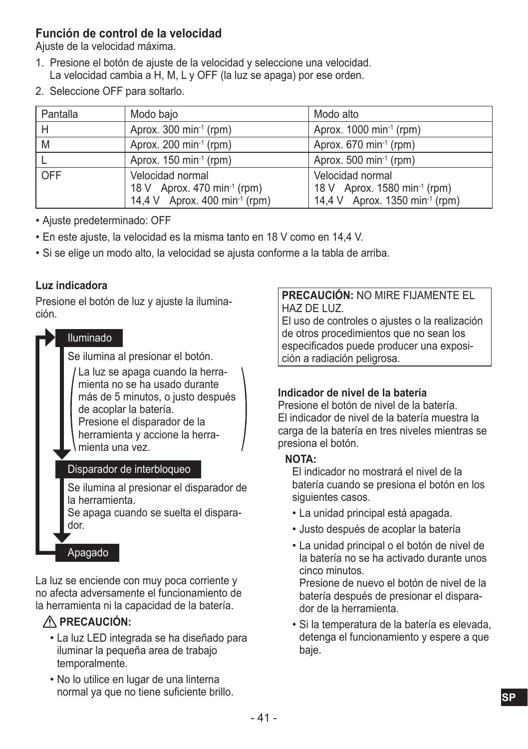#### **Función de control de la velocidad**

Ajuste de la velocidad máxima.

- 1. Presione el botón de ajuste de la velocidad y seleccione una velocidad. La velocidad cambia a H, M, L y OFF (la luz se apaga) por ese orden.
- 2. Seleccione OFF para soltarlo.

| Pantalla | Modo bajo                                                                                                | Modo alto                                                                                                  |
|----------|----------------------------------------------------------------------------------------------------------|------------------------------------------------------------------------------------------------------------|
| H        | Aprox. 300 min $-1$ (rpm)                                                                                | Aprox. $1000 \text{ min}^{-1}$ (rpm)                                                                       |
| M        | Aprox. 200 min <sup>-1</sup> (rpm)                                                                       | Aprox. $670 \text{ min}^1$ (rpm)                                                                           |
|          | Aprox. $150 \text{ min}^{-1}$ (rpm)                                                                      | Aprox. 500 min $-1$ (rpm)                                                                                  |
| OFF      | Velocidad normal<br>18 V Aprox. 470 min <sup>-1</sup> (rpm)<br>14,4 V Aprox. 400 min <sup>-1</sup> (rpm) | Velocidad normal<br>18 V Aprox. 1580 min <sup>-1</sup> (rpm)<br>14,4 V Aprox. 1350 min <sup>-1</sup> (rpm) |

- Ajuste predeterminado: OFF
- En este ajuste, la velocidad es la misma tanto en 18 V como en 14,4 V.
- Si se elige un modo alto, la velocidad se ajusta conforme a la tabla de arriba.

#### **Luz indicadora**

Presione el botón de luz y ajuste la iluminación.



La luz se enciende con muy poca corriente y no afecta adversamente el funcionamiento de la herramienta ni la capacidad de la batería.

#### **PRECAUCIÓN:**

- La luz LED integrada se ha diseñado para iluminar la pequeña area de trabajo temporalmente.
- No lo utilice en lugar de una linterna normal ya que no tiene suficiente brillo.

#### **PRECAUCIÓN:** NO MIRE FIJAMENTE EL HAZ DE LUZ.

El uso de controles o ajustes o la realización de otros procedimientos que no sean los especificados puede producer una exposición a radiación peligrosa.

#### **Indicador de nivel de la batería**

Presione el botón de nivel de la batería. El indicador de nivel de la batería muestra la carga de la batería en tres niveles mientras se presiona el botón.

#### **NOTA:**

El indicador no mostrará el nivel de la batería cuando se presiona el botón en los siguientes casos.

- La unidad principal está apagada.
- Justo después de acoplar la batería
- La unidad principal o el botón de nivel de la batería no se ha activado durante unos cinco minutos.

Presione de nuevo el botón de nivel de la batería después de presionar el disparador de la herramienta.

• Si la temperatura de la batería es elevada, detenga el funcionamiento y espere a que baje.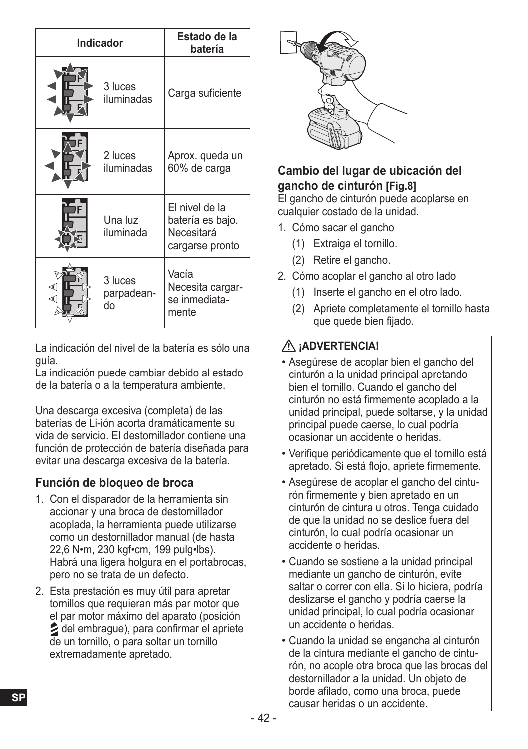| <b>Indicador</b> |                             | Estado de la<br>batería                                             |
|------------------|-----------------------------|---------------------------------------------------------------------|
|                  | 3 luces<br>iluminadas       | Carga suficiente                                                    |
|                  | 2 luces<br>iluminadas       | Aprox. queda un<br>60% de carga                                     |
|                  | Una luz<br>iluminada        | El nivel de la<br>batería es bajo.<br>Necesitará<br>cargarse pronto |
| ⊲(∣<br>⊲(        | 3 luces<br>parpadean-<br>do | Vacía<br>Necesita cargar-<br>se inmediata-<br>mente                 |

La indicación del nivel de la batería es sólo una guía.

La indicación puede cambiar debido al estado de la batería o a la temperatura ambiente.

Una descarga excesiva (completa) de las baterías de Li-ión acorta dramáticamente su vida de servicio. El destornillador contiene una función de protección de batería diseñada para evitar una descarga excesiva de la batería.

#### **Función de bloqueo de broca**

- 1. Con el disparador de la herramienta sin accionar y una broca de destornillador acoplada, la herramienta puede utilizarse como un destornillador manual (de hasta 22,6 N•m, 230 kgf•cm, 199 pulg•lbs). Habrá una ligera holgura en el portabrocas, pero no se trata de un defecto.
- 2. Esta prestación es muy útil para apretar tornillos que requieran más par motor que el par motor máximo del aparato (posición del embrague), para confirmar el apriete de un tornillo, o para soltar un tornillo extremadamente apretado.



#### **Cambio del lugar de ubicación del gancho de cinturón [Fig.8]**

El gancho de cinturón puede acoplarse en cualquier costado de la unidad.

- 1. Cómo sacar el gancho
	- (1) Extraiga el tornillo.
	- (2) Retire el gancho.
- 2. Cómo acoplar el gancho al otro lado
	- (1) Inserte el gancho en el otro lado.
	- (2) Apriete completamente el tornillo hasta que quede bien fijado.

#### **¡ADVERTENCIA!**

- Asegúrese de acoplar bien el gancho del cinturón a la unidad principal apretando bien el tornillo. Cuando el gancho del cinturón no está firmemente acoplado a la unidad principal, puede soltarse, y la unidad principal puede caerse, lo cual podría ocasionar un accidente o heridas.
- Verifique periódicamente que el tornillo está apretado. Si está flojo, apriete firmemente.
- Asegúrese de acoplar el gancho del cinturón firmemente y bien apretado en un cinturón de cintura u otros. Tenga cuidado de que la unidad no se deslice fuera del cinturón, lo cual podría ocasionar un accidente o heridas.
- Cuando se sostiene a la unidad principal mediante un gancho de cinturón, evite saltar o correr con ella. Si lo hiciera, podría deslizarse el gancho y podría caerse la unidad principal, lo cual podría ocasionar un accidente o heridas.
- Cuando la unidad se engancha al cinturón de la cintura mediante el gancho de cinturón, no acople otra broca que las brocas del destornillador a la unidad. Un objeto de borde afilado, como una broca, puede causar heridas o un accidente.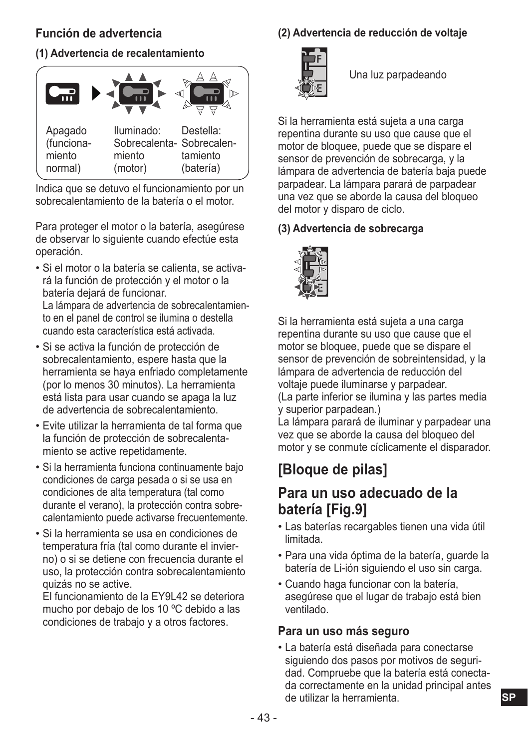#### **Función de advertencia**

#### **(1) Advertencia de recalentamiento**



Indica que se detuvo el funcionamiento por un sobrecalentamiento de la batería o el motor.

Para proteger el motor o la batería, asegúrese de observar lo siguiente cuando efectúe esta operación.

- Si el motor o la batería se calienta, se activará la función de protección y el motor o la batería dejará de funcionar. La lámpara de advertencia de sobrecalentamiento en el panel de control se ilumina o destella cuando esta característica está activada.
- Si se activa la función de protección de sobrecalentamiento, espere hasta que la herramienta se haya enfriado completamente (por lo menos 30 minutos). La herramienta está lista para usar cuando se apaga la luz de advertencia de sobrecalentamiento.
- Evite utilizar la herramienta de tal forma que la función de protección de sobrecalentamiento se active repetidamente.
- Si la herramienta funciona continuamente bajo condiciones de carga pesada o si se usa en condiciones de alta temperatura (tal como durante el verano), la protección contra sobrecalentamiento puede activarse frecuentemente.
- Si la herramienta se usa en condiciones de temperatura fría (tal como durante el invierno) o si se detiene con frecuencia durante el uso, la protección contra sobrecalentamiento quizás no se active.

El funcionamiento de la EY9L42 se deteriora mucho por debajo de los 10 ºC debido a las condiciones de trabajo y a otros factores.

#### **(2) Advertencia de reducción de voltaje**



Una luz parpadeando

Si la herramienta está sujeta a una carga repentina durante su uso que cause que el motor de bloquee, puede que se dispare el sensor de prevención de sobrecarga, y la lámpara de advertencia de batería baja puede parpadear. La lámpara parará de parpadear una vez que se aborde la causa del bloqueo del motor y disparo de ciclo.

#### **(3) Advertencia de sobrecarga**



Si la herramienta está sujeta a una carga repentina durante su uso que cause que el motor se bloquee, puede que se dispare el sensor de prevención de sobreintensidad, y la lámpara de advertencia de reducción del voltaje puede iluminarse y parpadear. (La parte inferior se ilumina y las partes media y superior parpadean.)

La lámpara parará de iluminar y parpadear una vez que se aborde la causa del bloqueo del motor y se conmute cíclicamente el disparador.

## **[Bloque de pilas]**

### **Para un uso adecuado de la batería [Fig.9]**

- Las baterías recargables tienen una vida útil limitada.
- Para una vida óptima de la batería, guarde la batería de Li-ión siguiendo el uso sin carga.
- Cuando haga funcionar con la batería, asegúrese que el lugar de trabajo está bien ventilado.

#### **Para un uso más seguro**

• La batería está diseñada para conectarse siguiendo dos pasos por motivos de seguridad. Compruebe que la batería está conectada correctamente en la unidad principal antes de utilizar la herramienta.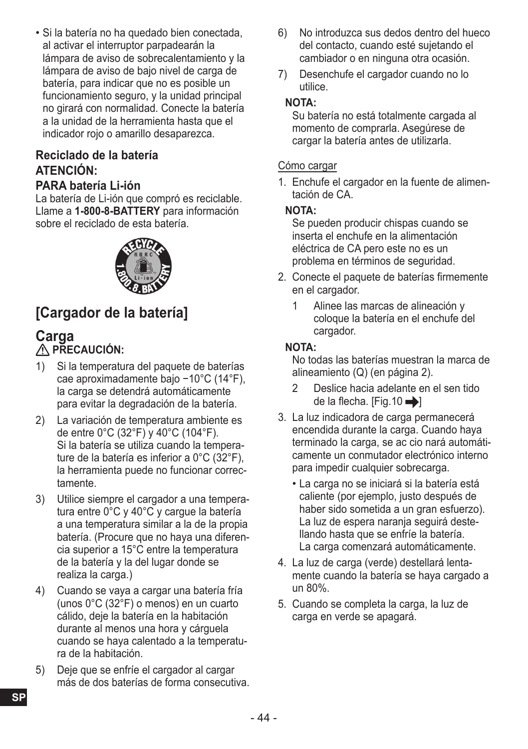• Si la batería no ha quedado bien conectada, al activar el interruptor parpadearán la lámpara de aviso de sobrecalentamiento y la lámpara de aviso de bajo nivel de carga de batería, para indicar que no es posible un funcionamiento seguro, y la unidad principal no girará con normalidad. Conecte la batería a la unidad de la herramienta hasta que el indicador rojo o amarillo desaparezca.

#### **Reciclado de la batería ATENCIÓN:**

#### **PARA batería Li-ión**

La batería de Li-ión que compró es reciclable. Llame a **1-800-8-BATTERY** para información sobre el reciclado de esta batería.



## **[Cargador de la batería]**

# **Carga**<br> **A PRECAUCIÓN:**

- 1) Si la temperatura del paquete de baterías cae aproximadamente bajo −10°C (14°F), la carga se detendrá automáticamente para evitar la degradación de la batería.
- 2) La variación de temperatura ambiente es de entre 0°C (32°F) y 40°C (104°F). Si la batería se utiliza cuando la temperature de la batería es inferior a 0°C (32°F), la herramienta puede no funcionar correctamente.
- 3) Utilice siempre el cargador a una temperatura entre 0°C y 40°C y cargue la batería a una temperatura similar a la de la propia batería. (Procure que no haya una diferencia superior a 15°C entre la temperatura de la batería y la del lugar donde se realiza la carga.)
- 4) Cuando se vaya a cargar una batería fría (unos 0°C (32°F) o menos) en un cuarto cálido, deje la batería en la habitación durante al menos una hora y cárguela cuando se haya calentado a la temperatura de la habitación.
- 5) Deje que se enfríe el cargador al cargar más de dos baterías de forma consecutiva.
- 6) No introduzca sus dedos dentro del hueco del contacto, cuando esté sujetando el cambiador o en ninguna otra ocasión.
- 7) Desenchufe el cargador cuando no lo utilice.

#### **NOTA:**

Su batería no está totalmente cargada al momento de comprarla. Asegúrese de cargar la batería antes de utilizarla.

#### Cómo cargar

1. Enchufe el cargador en la fuente de alimentación de CA.

#### **NOTA:**

Se pueden producir chispas cuando se inserta el enchufe en la alimentación eléctrica de CA pero este no es un problema en términos de seguridad.

- 2. Conecte el paquete de baterías firmemente en el cargador.
	- 1 Alinee las marcas de alineación y coloque la batería en el enchufe del cargador.

#### **NOTA:**

No todas las baterías muestran la marca de alineamiento (Q) (en página 2).

- 2 Deslice hacia adelante en el sen tido de la flecha. [Fig.10 $\rightarrow$ ]
- 3. La luz indicadora de carga permanecerá encendida durante la carga. Cuando haya terminado la carga, se ac cio nará automáticamente un conmutador electrónico interno para impedir cualquier sobrecarga.
	- La carga no se iniciará si la batería está caliente (por ejemplo, justo después de haber sido sometida a un gran esfuerzo). La luz de espera naranja seguirá destellando hasta que se enfríe la batería. La carga comenzará automáticamente.
- 4. La luz de carga (verde) destellará lentamente cuando la batería se haya cargado a un 80%.
- 5. Cuando se completa la carga, la luz de carga en verde se apagará.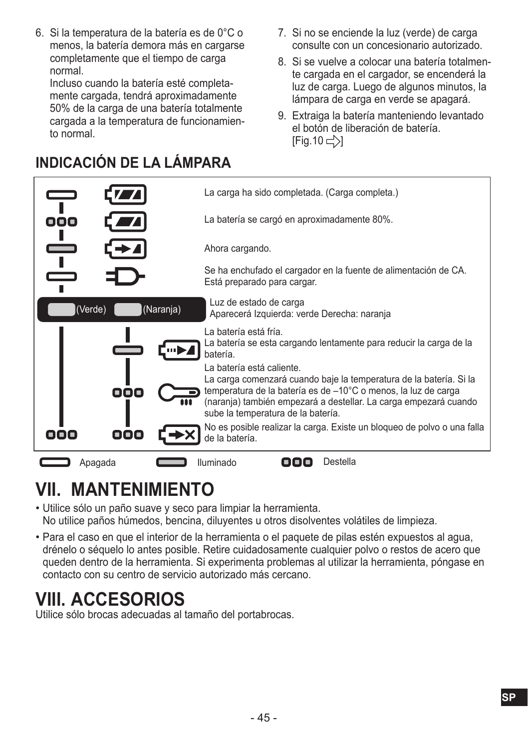6. Si la temperatura de la batería es de 0°C o menos, la batería demora más en cargarse completamente que el tiempo de carga normal.

Incluso cuando la batería esté completamente cargada, tendrá aproximadamente 50% de la carga de una batería totalmente cargada a la temperatura de funcionamiento normal.

- 7. Si no se enciende la luz (verde) de carga consulte con un concesionario autorizado.
- 8. Si se vuelve a colocar una batería totalmente cargada en el cargador, se encenderá la luz de carga. Luego de algunos minutos, la lámpara de carga en verde se apagará.
- 9. Extraiga la batería manteniendo levantado el botón de liberación de batería.  $[Fiq.10 \rightleftharpoons$

## **INDICACIÓN DE LA LÁMPARA**

|                      | La carga ha sido completada. (Carga completa.)                                                                                                                                                                                                                                                                                                   |
|----------------------|--------------------------------------------------------------------------------------------------------------------------------------------------------------------------------------------------------------------------------------------------------------------------------------------------------------------------------------------------|
| ooo                  | La batería se cargó en aproximadamente 80%.                                                                                                                                                                                                                                                                                                      |
|                      | Ahora cargando.                                                                                                                                                                                                                                                                                                                                  |
|                      | Se ha enchufado el cargador en la fuente de alimentación de CA.<br>Está preparado para cargar.                                                                                                                                                                                                                                                   |
| (Naranja)<br>(Verde) | Luz de estado de carga<br>Aparecerá Izquierda: verde Derecha: naranja                                                                                                                                                                                                                                                                            |
| mul<br>ooo           | La batería está fría.<br>La batería se esta cargando lentamente para reducir la carga de la<br>batería.<br>La batería está caliente.<br>La carga comenzará cuando baje la temperatura de la batería. Si la<br>temperatura de la batería es de -10°C o menos, la luz de carga<br>(naranja) también empezará a destellar. La carga empezará cuando |
| 000<br>nnn           | sube la temperatura de la batería.<br>No es posible realizar la carga. Existe un bloqueo de polvo o una falla<br>de la batería.                                                                                                                                                                                                                  |
| Apagada              | Destella<br>Iluminado                                                                                                                                                                                                                                                                                                                            |

## **VII. MANTENIMIENTO**

- Utilice sólo un paño suave y seco para limpiar la herramienta. No utilice paños húmedos, bencina, diluyentes u otros disolventes volátiles de limpieza.
- Para el caso en que el interior de la herramienta o el paquete de pilas estén expuestos al agua, drénelo o séquelo lo antes posible. Retire cuidadosamente cualquier polvo o restos de acero que queden dentro de la herramienta. Si experimenta problemas al utilizar la herramienta, póngase en contacto con su centro de servicio autorizado más cercano.

## **VIII. ACCESORIOS**

Utilice sólo brocas adecuadas al tamaño del portabrocas.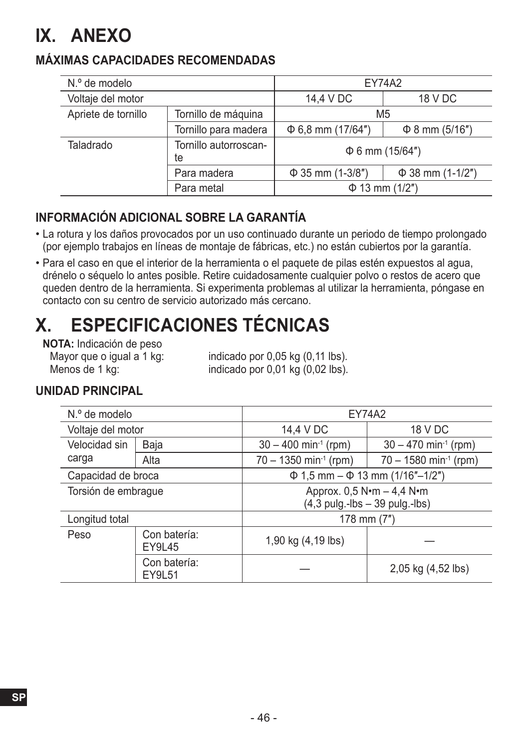## **IX. ANEXO**

#### **MÁXIMAS CAPACIDADES RECOMENDADAS**

| N.º de modelo       |                             | <b>EY74A2</b>          |                       |  |
|---------------------|-----------------------------|------------------------|-----------------------|--|
| Voltaje del motor   |                             | 14,4 V DC<br>18 V DC   |                       |  |
| Apriete de tornillo | Tornillo de máquina         | M <sub>5</sub>         |                       |  |
|                     | Tornillo para madera        | $\Phi$ 6,8 mm (17/64") | $\Phi$ 8 mm (5/16")   |  |
| Taladrado           | Tornillo autorroscan-<br>te | $\Phi$ 6 mm (15/64")   |                       |  |
|                     | Para madera                 | $\Phi$ 35 mm (1-3/8")  | $\Phi$ 38 mm (1-1/2") |  |
|                     | Para metal                  | $\Phi$ 13 mm (1/2")    |                       |  |

#### **INFORMACIÓN ADICIONAL SOBRE LA GARANTÍA**

- La rotura y los daños provocados por un uso continuado durante un periodo de tiempo prolongado (por ejemplo trabajos en líneas de montaje de fábricas, etc.) no están cubiertos por la garantía.
- Para el caso en que el interior de la herramienta o el paquete de pilas estén expuestos al agua, drénelo o séquelo lo antes posible. Retire cuidadosamente cualquier polvo o restos de acero que queden dentro de la herramienta. Si experimenta problemas al utilizar la herramienta, póngase en contacto con su centro de servicio autorizado más cercano.

## **X. ESPECIFICACIONES TÉCNICAS**

**NOTA:** Indicación de peso<br>Mayor que o igual a 1 kg:

Mayor que o igual a 1 kg: indicado por 0,05 kg (0,11 lbs).<br>Menos de 1 kg: indicado por 0.01 kg (0.02 lbs). indicado por  $0.01$  kg $(0.02$  lbs).

#### **UNIDAD PRINCIPAL**

| N.º de modelo       |                               | <b>EY74A2</b>                                                                 |                                     |  |
|---------------------|-------------------------------|-------------------------------------------------------------------------------|-------------------------------------|--|
| Voltaje del motor   |                               | 14,4 V DC<br>18 V DC                                                          |                                     |  |
| Velocidad sin       | Baja                          | $30 - 400$ min <sup>-1</sup> (rpm)                                            | $30 - 470$ min <sup>-1</sup> (rpm)  |  |
| carga               | Alta                          | $70 - 1350$ min <sup>-1</sup> (rpm)                                           | $70 - 1580$ min <sup>-1</sup> (rpm) |  |
| Capacidad de broca  |                               | $\Phi$ 1.5 mm – $\Phi$ 13 mm (1/16"–1/2")                                     |                                     |  |
| Torsión de embrague |                               | Approx. 0,5 N•m - 4,4 N•m<br>$(4,3 \text{ pulg.-lbs} - 39 \text{ pulg.-lbs})$ |                                     |  |
| Longitud total      |                               |                                                                               | 178 mm $(7")$                       |  |
| Peso                | Con batería:<br><b>EY9L45</b> | 1,90 kg (4,19 lbs)                                                            |                                     |  |
|                     | Con batería:<br>EY9L51        |                                                                               | 2,05 kg (4,52 lbs)                  |  |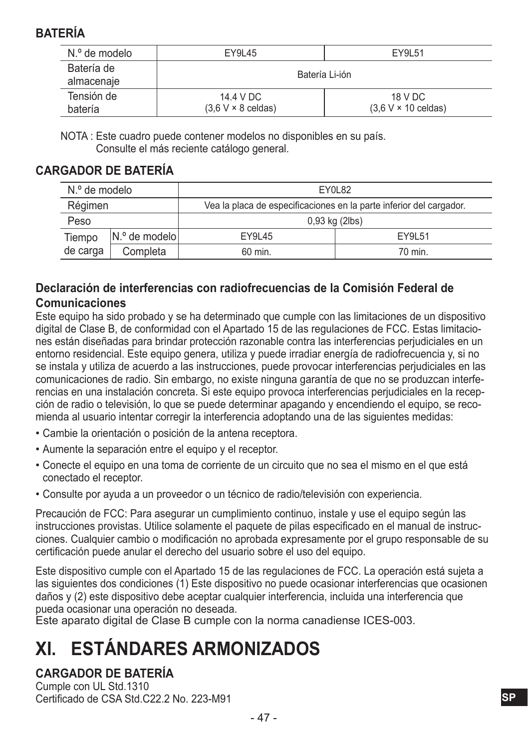### **BATERÍA**

| N.º de modelo            | EY9L45                                 | EY9L51                                |  |
|--------------------------|----------------------------------------|---------------------------------------|--|
| Batería de<br>almacenaje | Batería Li-ión                         |                                       |  |
| Tensión de<br>batería    | 14.4 V DC<br>$(3.6 V \times 8$ celdas) | 18 V DC<br>$(3.6 V \times 10$ celdas) |  |

NOTA : Este cuadro puede contener modelos no disponibles en su país. Consulte el más reciente catálogo general.

#### **CARGADOR DE BATERÍA**

| N.º de modelo |                | EY0L82                                                              |         |
|---------------|----------------|---------------------------------------------------------------------|---------|
| Régimen       |                | Vea la placa de especificaciones en la parte inferior del cargador. |         |
| Peso          |                | 0,93 kg (2lbs)                                                      |         |
| Tiempo        | IN.º de modelo | EY9L45                                                              | FY91 51 |
| de carga      | Completa       | 60 min.                                                             | 70 min. |

#### **Declaración de interferencias con radiofrecuencias de la Comisión Federal de Comunicaciones**

Este equipo ha sido probado y se ha determinado que cumple con las limitaciones de un dispositivo digital de Clase B, de conformidad con el Apartado 15 de las regulaciones de FCC. Estas limitaciones están diseñadas para brindar protección razonable contra las interferencias perjudiciales en un entorno residencial. Este equipo genera, utiliza y puede irradiar energía de radiofrecuencia y, si no se instala y utiliza de acuerdo a las instrucciones, puede provocar interferencias perjudiciales en las comunicaciones de radio. Sin embargo, no existe ninguna garantía de que no se produzcan interferencias en una instalación concreta. Si este equipo provoca interferencias perjudiciales en la recepción de radio o televisión, lo que se puede determinar apagando y encendiendo el equipo, se recomienda al usuario intentar corregir la interferencia adoptando una de las siguientes medidas:

- Cambie la orientación o posición de la antena receptora.
- Aumente la separación entre el equipo y el receptor.
- Conecte el equipo en una toma de corriente de un circuito que no sea el mismo en el que está conectado el receptor.
- Consulte por ayuda a un proveedor o un técnico de radio/televisión con experiencia.

Precaución de FCC: Para asegurar un cumplimiento continuo, instale y use el equipo según las instrucciones provistas. Utilice solamente el paquete de pilas especificado en el manual de instrucciones. Cualquier cambio o modificación no aprobada expresamente por el grupo responsable de su certificación puede anular el derecho del usuario sobre el uso del equipo.

Este dispositivo cumple con el Apartado 15 de las regulaciones de FCC. La operación está sujeta a las siguientes dos condiciones (1) Este dispositivo no puede ocasionar interferencias que ocasionen daños y (2) este dispositivo debe aceptar cualquier interferencia, incluida una interferencia que pueda ocasionar una operación no deseada.

Este aparato digital de Clase B cumple con la norma canadiense ICES-003.

## **XI. ESTÁNDARES ARMONIZADOS**

#### **CARGADOR DE BATERÍA**

Cumple con UL Std.1310 Certificado de CSA Std.C22.2 No. 223-M91